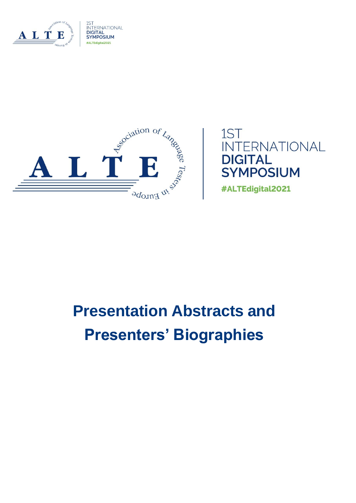





# **Presentation Abstracts and Presenters' Biographies**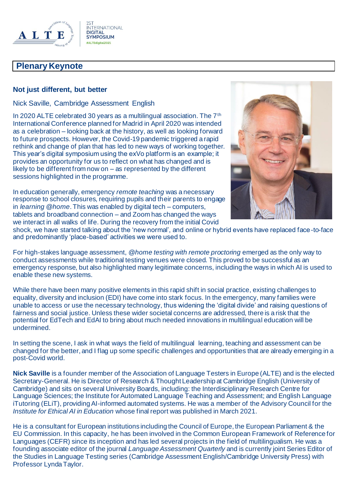

## **Plenary Keynote**

### **Not just different, but better**

Nick Saville, Cambridge Assessment English

In 2020 ALTE celebrated 30 years as a multilingual association. The 7th International Conference planned for Madrid in April 2020 was intended as a celebration – looking back at the history, as well as looking forward to future prospects. However, the Covid-19 pandemic triggered a rapid rethink and change of plan that has led to new ways of working together. This year's digital symposium using the exVo platform is an example; it provides an opportunity for us to reflect on what has changed and is likely to be different from now on – as represented by the different sessions highlighted in the programme.

In education generally, emergency *remote teaching* was a necessary response to school closures, requiring pupils and their parents to engage in *learning @home*. This was enabled by digital tech – computers, tablets and broadband connection – and Zoom has changed the ways we interact in all walks of life. During the recovery from the initial Covid



shock, we have started talking about the 'new normal', and online or hybrid events have replaced face-to-face and predominantly 'place-based' activities we were used to.

For high-stakes language assessment, *@home testing with remote proctoring* emerged as the only way to conduct assessments while traditional testing venues were closed. This proved to be successful as an emergency response, but also highlighted many legitimate concerns, including the ways in which AI is used to enable these new systems.

While there have been many positive elements in this rapid shift in social practice, existing challenges to equality, diversity and inclusion (EDI) have come into stark focus. In the emergency, many families were unable to access or use the necessary technology, thus widening the 'digital divide' and raising questions of fairness and social justice. Unless these wider societal concerns are addressed, there is a risk that the potential for EdTech and EdAI to bring about much needed innovations in multilingual education will be undermined.

In setting the scene, I ask in what ways the field of multilingual learning, teaching and assessment can be changed for the better, and I flag up some specific challenges and opportunities that are already emerging in a post-Covid world.

**Nick Saville** is a founder member of the Association of Language Testers in Europe (ALTE) and is the elected Secretary-General. He is Director of Research & Thought Leadership at Cambridge English (University of Cambridge) and sits on several University Boards, including: the Interdisciplinary Research Centre for Language Sciences; the Institute for Automated Language Teaching and Assessment; and English Language iTutoring (ELiT), providing AI-informed automated systems. He was a member of the Advisory Council for the *Institute for Ethical AI in Education* whose final report was published in March 2021.

He is a consultant for European institutions including the Council of Europe, the European Parliament & the EU Commission. In this capacity, he has been involved in the Common European Framework of Reference for Languages (CEFR) since its inception and has led several projects in the field of multilingualism. He was a founding associate editor of the journal *Language Assessment Quarterly* and is currently joint Series Editor of the Studies in Language Testing series (Cambridge Assessment English/Cambridge University Press) with Professor Lynda Taylor.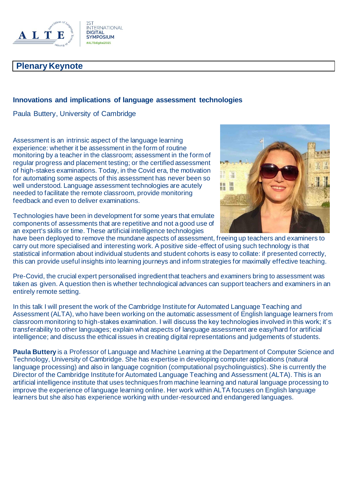

## **Plenary Keynote**

#### **Innovations and implications of language assessment technologies**

Paula Buttery, University of Cambridge

Assessment is an intrinsic aspect of the language learning experience: whether it be assessment in the form of routine monitoring by a teacher in the classroom; assessment in the form of regular progress and placement testing; or the certified assessment of high-stakes examinations. Today, in the Covid era, the motivation for automating some aspects of this assessment has never been so well understood. Language assessment technologies are acutely needed to facilitate the remote classroom, provide monitoring feedback and even to deliver examinations.



Technologies have been in development for some years that emulate components of assessments that are repetitive and not a good use of an expert's skills or time. These artificial intelligence technologies

have been deployed to remove the mundane aspects of assessment, freeing up teachers and examiners to carry out more specialised and interesting work. A positive side-effect of using such technology is that statistical information about individual students and student cohorts is easy to collate: if presented correctly, this can provide useful insights into learning journeys and inform strategies for maximally effective teaching.

Pre-Covid, the crucial expert personalised ingredient that teachers and examiners bring to assessment was taken as given. A question then is whether technological advances can support teachers and examiners in an entirely remote setting.

In this talk I will present the work of the Cambridge Institute for Automated Language Teaching and Assessment (ALTA), who have been working on the automatic assessment of English language learners from classroom monitoring to high-stakes examination. I will discuss the key technologies involved in this work; it's transferability to other languages; explain what aspects of language assessment are easy/hard for artificial intelligence; and discuss the ethical issues in creating digital representations and judgements of students.

**Paula Buttery** is a Professor of Language and Machine Learning at the Department of Computer Science and Technology, University of Cambridge. She has expertise in developing computer applications (natural language processing) and also in language cognition (computational psycholinguistics). She is currently the Director of the Cambridge Institute for Automated Language Teaching and Assessment (ALTA). This is an artificial intelligence institute that uses techniques from machine learning and natural language processing to improve the experience of language learning online. Her work within ALTA focuses on English language learners but she also has experience working with under-resourced and endangered languages.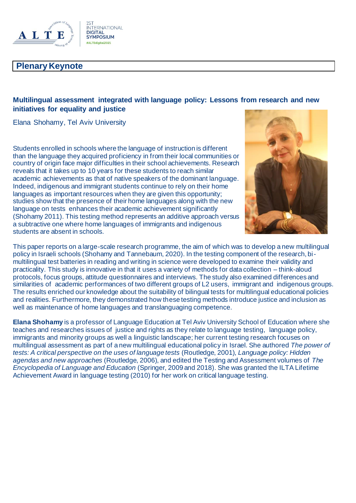

## **Plenary Keynote**

## **Multilingual assessment integrated with language policy: Lessons from research and new initiatives for equality and justice**

Elana Shohamy, Tel Aviv University

Students enrolled in schools where the language of instruction is different than the language they acquired proficiency in from their local communities or country of origin face major difficulties in their school achievements. Research reveals that it takes up to 10 years for these students to reach similar academic achievements as that of native speakers of the dominant language. Indeed, indigenous and immigrant students continue to rely on their home languages as important resources when they are given this opportunity; studies show that the presence of their home languages along with the new language on tests enhances their academic achievement significantly (Shohamy 2011). This testing method represents an additive approach versus a subtractive one where home languages of immigrants and indigenous students are absent in schools.



This paper reports on a large-scale research programme, the aim of which was to develop a new multilingual policy in Israeli schools (Shohamy and Tannebaum, 2020). In the testing component of the research, bimultilingual test batteries in reading and writing in science were developed to examine their validity and practicality. This study is innovative in that it uses a variety of methods for data collection – think-aloud protocols, focus groups, attitude questionnaires and interviews. The study also examined differences and similarities of academic performances of two different groups of L2 users, immigrant and indigenous groups. The results enriched our knowledge about the suitability of bilingual tests for multilingual educational policies and realities. Furthermore, they demonstrated how these testing methods introduce justice and inclusion as well as maintenance of home languages and translanguaging competence.

**Elana Shohamy** is a professor of Language Education at Tel Aviv University School of Education where she teaches and researches issues of justice and rights as they relate to language testing, language policy, immigrants and minority groups as well a linguistic landscape; her current testing research focuses on multilingual assessment as part of a new multilingual educational policy in Israel. She authored *The power of tests: A critical perspective on the uses of language tests* (Routledge, 2001), *Language policy: Hidden agendas and new approaches* (Routledge, 2006), and edited the Testing and Assessment volumes of *The Encyclopedia of Language and Education* (Springer, 2009 and 2018). She was granted the ILTA Lifetime Achievement Award in language testing (2010) for her work on critical language testing.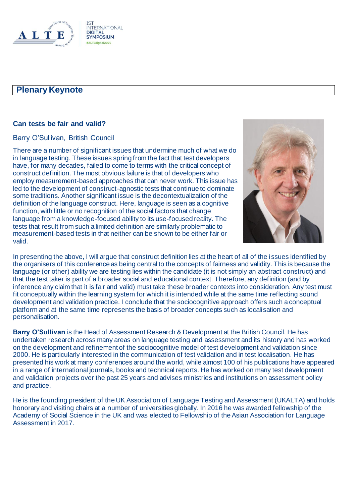

#### **Can tests be fair and valid?**

#### Barry O'Sullivan, British Council

There are a number of significant issues that undermine much of what we do in language testing. These issues spring from the fact that test developers have, for many decades, failed to come to terms with the critical concept of construct definition. The most obvious failure is that of developers who employ measurement-based approaches that can never work. This issue has led to the development of construct-agnostic tests that continue to dominate some traditions. Another significant issue is the decontextualization of the definition of the language construct. Here, language is seen as a cognitive function, with little or no recognition of the social factors that change language from a knowledge-focused ability to its use-focused reality. The tests that result from such a limited definition are similarly problematic to measurement-based tests in that neither can be shown to be either fair or valid.



In presenting the above, I will argue that construct definition lies at the heart of all of the issues identified by the organisers of this conference as being central to the concepts of fairness and validity. This is because the language (or other) ability we are testing lies within the candidate (it is not simply an abstract construct) and that the test taker is part of a broader social and educational context. Therefore, any definition (and by inference any claim that it is fair and valid) must take these broader contexts into consideration. Any test must fit conceptually within the learning system for which it is intended while at the same time reflecting sound development and validation practice. I conclude that the sociocognitive approach offers such a conceptual platform and at the same time represents the basis of broader concepts such as localisation and personalisation.

**Barry O'Sullivan** is the Head of Assessment Research & Development at the British Council. He has undertaken research across many areas on language testing and assessment and its history and has worked on the development and refinement of the sociocognitive model of test development and validation since 2000. He is particularly interested in the communication of test validation and in test localisation. He has presented his work at many conferences around the world, while almost 100 of his publications have appeared in a range of international journals, books and technical reports. He has worked on many test development and validation projects over the past 25 years and advises ministries and institutions on assessment policy and practice.

He is the founding president of the UK Association of Language Testing and Assessment (UKALTA) and holds honorary and visiting chairs at a number of universities globally. In 2016 he was awarded fellowship of the Academy of Social Science in the UK and was elected to Fellowship of the Asian Association for Language Assessment in 2017.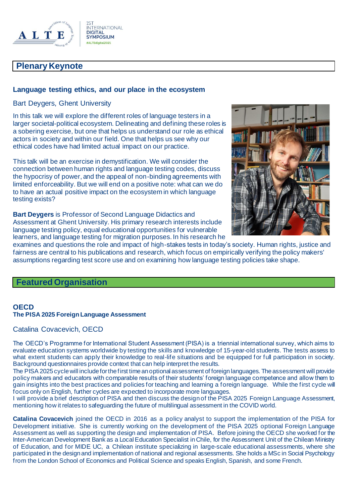

## **Plenary Keynote**

#### **Language testing ethics, and our place in the ecosystem**

Bart Deygers, Ghent University

In this talk we will explore the different roles of language testers in a larger societal-political ecosystem. Delineating and defining these roles is a sobering exercise, but one that helps us understand our role as ethical actors in society and within our field. One that helps us see why our ethical codes have had limited actual impact on our practice.

This talk will be an exercise in demystification. We will consider the connection between human rights and language testing codes, discuss the hypocrisy of power, and the appeal of non-binding agreements with limited enforceability. But we will end on a positive note: what can we do to have an actual positive impact on the ecosystem in which language testing exists?



**Bart Deygers** is Professor of Second Language Didactics and Assessment at Ghent University. His primary research interests include language testing policy, equal educational opportunities for vulnerable learners, and language testing for migration purposes. In his research he

examines and questions the role and impact of high-stakes tests in today's society. Human rights, justice and fairness are central to his publications and research, which focus on empirically verifying the policy makers' assumptions regarding test score use and on examining how language testing policies take shape.

#### **Featured Organisation**

#### **OECD The PISA 2025 Foreign Language Assessment**

Catalina Covacevich, OECD

The OECD's Programme for International Student Assessment (PISA) is a triennial international survey, which aims to evaluate education systems worldwide by testing the skills and knowledge of 15-year-old students. The tests assess to what extent students can apply their knowledge to real-life situations and be equipped for full participation in society. Background questionnaires provide context that can help interpret the results.

The PISA 2025 cycle will include for the first time an optional assessment of foreign languages. The assessment will provide policy makers and educators with comparable results of their students' foreign language competence and allow them to gain insights into the best practices and policies for teaching and learning a foreign language. While the first cycle will focus only on English, further cycles are expected to incorporate more languages.

I will provide a brief description of PISA and then discuss the design of the PISA 2025 Foreign Language Assessment, mentioning how it relates to safeguarding the future of multilingual assessment in the COVID world.

**Catalina Covacevich** joined the OECD in 2016 as a policy analyst to support the implementation of the PISA for Development initiative. She is currently working on the development of the PISA 2025 optional Foreign Language Assessment as well as supporting the design and implementation of PISA. Before joining the OECD she worked for the Inter-American Development Bank as a Local Education Specialist in Chile, for the Assessment Unit of the Chilean Ministry of Education, and for MIDE UC, a Chilean institute specializing in large-scale educational assessments, where she participated in the design and implementation of national and regional assessments. She holds a MSc in Social Psychology from the London School of Economics and Political Science and speaks English, Spanish, and some French.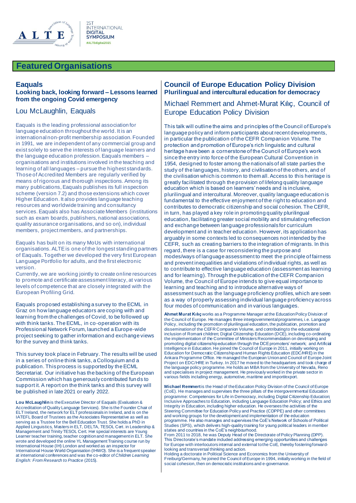

#### **Featured Organisations**

#### **Eaquals**

#### **Looking back, looking forward – Lessons learned from the ongoing Covid emergency**

#### Lou McLaughlin, Eaquals

Eaquals is the leading professional association for language education throughout the world. It is an international non-profit membership association. Founded in 1991, we are independent of any commercial group and exist solely to serve the interests of language learners and the language education profession. Eaquals members – organisations and institutions involved in the teaching and learning of all languages – pursue the highest standards. Those of Accredited Members are regularly verified by means of rigorous and thorough inspections. Among its many publications, Eaquals publishes its full inspection scheme (version 7.2) and those extensions which cover Higher Education. It also provides language teaching resources and worldwide training and consultancy services. Eaquals also has Associate Members (institutions such as exam boards, publishers, national associations, quality assurance organisations, and so on), individual members, project members, and partnerships.

Eaquals has built on its many MoUs with international organisations. ALTE is one of the longest standing partners of Eaquals. Together we developed the very first European Language Portfolio for adults, and the first electronic version.

Currently, we are working jointly to create online resources to promote and certificate assessment literacy, at various levels of competence that are closely integrated with the European Profiling Grid.

Eaquals proposed establishing a survey to the ECML in Graz on how language educators are coping with and learning from the challenges of Covid, to be followed up with think tanks. The ECML, in co-operation with its Professional Network Forum, launched a Europe-wide project seeking to gather information and exchange views for the survey and think tanks.

This survey took place in February. The results will be used in a series of online think tanks, a Colloquium and a publication. This process is supported by the ECML Secretariat. Our initiative has the backing of the European Commission which has generously contributed fun ds to support it. A report on the think tanks and this survey will be published in late 2021 or early 2022.

**Lou McLaughlin** is the Executive Director of Eaquals (Evaluation & Accreditation of Quality Language Services). She is the Founder Chair of ELT Ireland*,* the network for ELT professionals in Ireland, and is on the IATEFL Board of Trustees as the Associates Representative as well as serving as a Trustee for the Bell Education Trust. She holds a PhD in Applied Linguistics, Masters in ELT, DELTA, TESOL Cert. in Leadership & Management and Trinity TESOL Cert. Her special interests are Young Learner teacher training, teacher cognition and management in ELT. She wrote and developed the online YL Management Training course run by International House (IH) London and worked as an inspector for International House World Organisation (IHWO). She is a frequent speaker at international conferences and was the co-editor of *Children Learning English: From Research to Practice* (2015).

#### **Council of Europe Education Policy Division Plurilingual and intercultural education for democracy**

Michael Remmert and Ahmet-Murat Kılıç, Council of Europe Education Policy Division

This talk will outline the aims and principles of the Council of Europe's language policy and inform participants about recent developments, in particular the publication of the CEFR Companion Volume. The protection and promotion of Europe's rich linguistic and cultural heritage have been a cornerstone of the Council of Europe's work since the entry into force of the European Cultural Convention in 1954, designed to foster among the nationals of all state parties the study of the languages, history, and civilisation of the others, and of the civilisation which is common to them all. Access to this heritage is greatly facilitated through the provision of lifelong quality language education which is based on learners' needs and is inclusive, plurilingual and intercultural. Moreover, quality language education is fundamental to the effective enjoyment of the right to education and contributes to democratic citizenship and social cohesion. The CEFR, in turn, has played a key role in promoting quality plurilingual education, facilitating greater social mobility and stimulating reflection and exchange between language professionals for curriculum development and in teacher education. However, its application has arguably in some contexts led to consequences not intended by the CEFR, such as creating barriers to the integration of migrants. In this regard, there is a case for reconsidering the purpose and modes/ways of language assessment to meet the principle of fairness and prevent inequalities and violations of individual rights, as well as to contribute to effective language education (assessment as learning and for learning). Through the publication of the CEFR Companion Volume, the Council of Europe intends to give equal importance to learning and teaching and to introduce alternative ways of assessment such as the language proficiency profiles, which are seen as a way of properly assessing individual language proficiency across four modes of communication and in various languages.

**Ahmet Murat Kılıç** works as a Programme Manager at the Education Policy Division of the Council of Europe. He manages three intergovernmental programmes, i.e. Language Policy, including the promotion of plurilingual education, the publication, promotion and dissemination of the CEFR Companion Volume, and contributing to the educational inclusion of Romani children; Digital Citizenship Education (DCE), including co-ordinating the implementation of the Committee of Ministers Recommendation on developing and promoting digital citizenship education through the DCE promoters' network; and Artificial Intelligence in Education. He joined the Council of Europe in 2011, initially working on Education for Democratic Citizenship and Human Rights Education (EDC/HRE) in the Ankara Programme Office. He managed the European Union and Council of Europe Joint Project on EDC/HRE in Turkey. In 2017 he moved to the headquarters and took charge of the language policy programme. He holds an MBA from the University of Nevada, Reno and specialises in project management. He previously worked in the private sector in various fields including energy, automotive, maritime and import/export.

**Michael Remmert**is the Head of the Education Policy Division of the Council of Europe (CoE). He manages and supervises the three pillars of the intergovernmental Education programme: Competences for Life in Democracy, including Digital Citizenship Education; Inclusive Approaches to Education, including Language Education Policy; and Ethics and Integrity in Education, including higher education. He oversees the activities of the Steering Committee for Education Policy and Practice (CDPPE) and other committees and working groups for the development and implementation of the education programme. He also manages and supervises the CoE's Network of Schools of Political Studies (SPS), which delivers high-quality training for young political leaders in member states and countries in the CoE's neighbourhood.

From 2011 to 2018, he was Deputy Head of the Directorate of Policy Planning (DPP). This Directorate's mandate included addressing emerging opportunities and challenges for Europe with interlocutors internal and external to the CoE, thereby fostering forwardlooking and transversal thinking and action.

Holding a doctorate in Political Science and Economics from the University of Freiburg/Germany, he joined the Council of Europe in 1994, initially working in the field of social cohesion, then on democratic institutions and e-governance.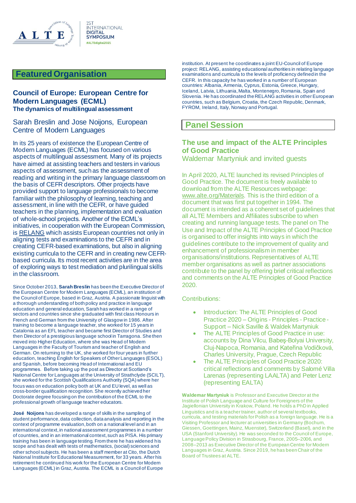

## **Featured Organisation**

#### **Council of Europe: European Centre for Modern Languages (ECML) The dynamics of multilingual assessment**

Sarah Breslin and Jose Noijons, European Centre of Modern Languages

In its 25 years of existence the European Centre of Modern Languages (ECML) has focused on various aspects of multilingual assessment. Many of its projects have aimed at assisting teachers and testers in various aspects of assessment, such as the assessment of reading and writing in the primary language classroom on the basis of CEFR descriptors. Other projects have provided support to language professionals to become familiar with the philosophy of learning, teaching and assessment, in line with the CEFR, or have guided teachers in the planning, implementation and evaluation of whole-school projects. Another of the ECML's initiatives, in cooperation with the European Commission, i[s RELANG](https://protect-eu.mimecast.com/s/OrU-CrRZZTDEmV5i7VRqC?domain=relang.ecml.at) which assists European countries not only in aligning tests and examinations to the CEFR and in creating CEFR-based examinations, but also in aligning existing curricula to the CEFR and in creating new CEFRbased curricula. Its most recent activities are in the area of exploring ways to test mediation and plurilingual skills in the classroom.

Since October 2013, **Sarah Breslin** has been the Executive Director of the European Centre for Modern Languages (ECML), an institution of the Council of Europe, based in Graz, Austria. A passionate linguist with a thorough understanding of both policy and practice in language education and general education, Sarah has worked in a range of sectors and countries since she graduated with first class Honours in French and German from the University of Glasgow in 1986. After training to become a language teacher, she worked for 15 years in Catalonia as an EFL teacher and became first Director of Studies and then Director of a prestigious language school in Tarragona. She then moved into Higher Education, where she was Head of Modern Languages in the Faculty of Tourism and teacher of English and German. On returning to the UK, she worked for four years in further education, teaching English for Speakers of Other Languages (ESOL) and Spanish, before becoming Head of International and EU programmes. Before taking up the post as Director at Scotland's National Centre for Languages at the University of Strathclyde (SCILT), she worked for the Scottish Qualifications Authority (SQA) where her focus was on education policy both at UK and EU level, as well as cross-border qualification recognition. She recently achieved her Doctorate degree focusing on the contribution of the ECML to the professional growth of language teacher educators.

**José Noijons** has developed a range of skills in the sampling of student performance, data collection, data analysis and reporting in the context of programme evaluation, both on a national level and in an international context, in national assessment programmes in a number of countries, and in an international context, such as PISA. His primary training has been in language testing. From there he has widened his scope and has dealt with tests of mathematics, (social) sciences and other school subjects. He has been a staff member at Cito, the Dutch National Institute for Educational Measurement, for 33 years. After his retirement he continued his work for the European Centre for Modern Languages (ECML) in Graz, Austria. The ECML is a Council of Europe

institution. At present he coordinates a joint EU-Council of Europe project: RELANG, assisting educational authorities in relating language examinations and curricula to the levels of proficiency defined in the CEFR. In this capacity he has worked in a number of European countries: Albania, Armenia, Cyprus, Estonia, Greece, Hungary, Iceland, Latvia, Lithuania, Malta, Montenegro, Romania, Spain and Slovenia. He has coordinated the RELANG activities in other European countries, such as Belgium, Croatia, the Czech Republic, Denmark, FYROM, Ireland, Italy, Norway and Portugal.

## **Panel Session**

#### **The use and impact of the ALTE Principles of Good Practice**

Waldemar Martyniuk and invited guests

In April 2020, ALTE launched its revised Principles of Good Practice. The document is freely available to download from the ALTE Resources webpage: [www.alte.org/Materials](https://protect-eu.mimecast.com/s/uY83CYvppTgBGGpt0km-l?domain=alte.org). This is the third edition of a document that was first put together in 1994. The document is intended as a coherent set of guidelines that all ALTE Members and Affiliates subscribe to when creating and running language tests. The panel on The Use and Impact of the ALTE Principles of Good Practice is organised to offer insights into ways in which the guidelines contribute to the improvement of quality and enhancement of professionalism in member organisations/institutions. Representatives of ALTE member organisations as well as partner associations contribute to the panel by offering brief critical reflections and comments on the ALTE Principles of Good Practice 2020.

#### Contributions:

- Introduction: The ALTE Principles of Good Practice 2020 – Origins - Principles - Practice - Support – Nick Saville & Waldek Martyniuk
- The ALTE Principles of Good Practice in use: accounts by Dina Vilcu, Babeş-Bolyai University, Cluj-Napoca, Romania, and Kateřina Vodičková, Charles University, Prague, Czech Republic
- The ALTE Principles of Good Practice 2020: critical reflections and comments by Salomé Villa Larenas (representing LAALTA) and Peter Lenz (representing EALTA)

**Waldemar Martyniuk** is Professor and Executive Director at the Institute of Polish Language and Culture for Foreigners of the Jagiellonian University in Krakow, Poland. He holds a PhD in Applied Linguistics and is a teacher trainer, author of several textbooks, curricula, and testing materials for Polish as a foreign language. He is a Visiting Professor and lecturer at universities in Germany (Bochum, Giessen, Goettingen, Mainz, Muenster), Switzerland (Basel), and in the USA (Stanford University). He was seconded to the Council of Europe, Language Policy Division in Strasbourg, France, 2005–2006, and 2008–2013 as Executive Director of the European Centre for Modern Languages in Graz, Austria. Since 2019, he has been Chair of the Board of Trustees at ALTE.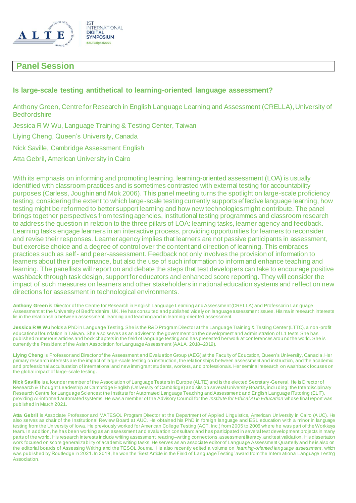

## **Panel Session**

#### **Is large-scale testing antithetical to learning-oriented language assessment?**

Anthony Green, Centre for Research in English Language Learning and Assessment (CRELLA), University of **Bedfordshire** 

Jessica R W Wu, Language Training & Testing Center, Taiwan

Liying Cheng, Queen's University, Canada

Nick Saville, Cambridge Assessment English

Atta Gebril, American University in Cairo

With its emphasis on informing and promoting learning, learning-oriented assessment (LOA) is usually identified with classroom practices and is sometimes contrasted with external testing for accountability purposes (Carless, Joughin and Mok 2006). This panel meeting turns the spotlight on large-scale proficiency testing, considering the extent to which large-scale testing currently supports effective language learning, how testing might be reformed to better support learning and how new technologies might contribute. The panel brings together perspectives from testing agencies, institutional testing programmes and classroom research to address the question in relation to the three pillars of LOA: learning tasks, learner agency and feedback. Learning tasks engage learners in an interactive process, providing opportunities for learners to reconsider and revise their responses. Learner agency implies that learners are not passive participants in assessment, but exercise choice and a degree of control over the content and direction of learning. This embraces practices such as self- and peer-assessment. Feedback not only involves the provision of information to learners about their performance, but also the use of such information to inform and enhance teaching and learning. The panellists will report on and debate the steps that test developers can take to encourage positive washback through task design, support for educators and enhanced score reporting. They will consider the impact of such measures on learners and other stakeholders in national education systems and reflect on new directions for assessment in technological environments.

**Anthony Green** is Director of the Centre for Research in English Language Learning and Assessment (CRELLA) and Professor in Lan guage Assessment at the University of Bedfordshire, UK. He has consulted and published widely on language assessment issues. His ma in research interests lie in the relationship between assessment, learning and teaching and in learning-oriented assessment.

**Jessica R W Wu** holds a PhD in Language Testing. She is the R&D Program Director at the Language Training & Testing Center (LTTC), a non-profit educational foundation in Taiwan. She also serves as an adviser to the government on the development and administration of L1 tests. She has published numerous articles and book chapters in the field of language testing and has presented her work at conferences arou nd the world. She is currently the President of the Asian Association for Language Assessment (AALA, 2018–2019).

**Liying Cheng** is Professor and Director of the Assessment and Evaluation Group (AEG) at the Faculty of Education, Queen's University, Canad a. Her primary research interests are the impact of large-scale testing on instruction, the relationships between assessment and instruction, and the academic and professional acculturation of international and new immigrant students, workers, and professionals. Her seminal research on washback focuses on the global impact of large-scale testing.

**Nick Saville** is a founder member of the Association of Language Testers in Europe (ALTE) and is the elected Secretary-General. He is Director of Research & Thought Leadership at Cambridge English (University of Cambridge) and sits on several University Boards, inclu ding: the Interdisciplinary Research Centre for Language Sciences; the Institute for Automated Language Teaching and Assessment; and English Language iTutoring (ELiT), providing AI-informed automated systems. He was a member of the Advisory Council for the *Institute for Ethical AI in Education* whose final report was published in March 2021.

**Atta Gebril** is Associate Professor and MATESOL Program Director at the Department of Applied Linguistics, American University in Cairo (A UC). He also serves as chair of the Institutional Review Board at AUC. He obtained his PhD in foreign language and ESL education with a minor in language testing from the University of Iowa. He previously worked for American College Testing (ACT, Inc.) from 2005 to 2006 where he was part of the Workkeys team. In addition, he has been working as an assessment and evaluation consultant and has participated in several test development projects in many parts of the world. His research interests include writing assessment, reading–writing connections, assessment literacy, and test validation. His dissertation work focused on score generalizability of academic writing tasks. He serves as an associate editor of Language Assessment Quarterly and he is also on the editorial boards of Assessing Writing and the TESOL Journal. He also recently edited a volume on *learning-oriented language assessment*, which was published by Routledge in 2021. In 2019, he won the 'Best Article in the Field of Language Testing' award from the Intern ational Language Testing Association.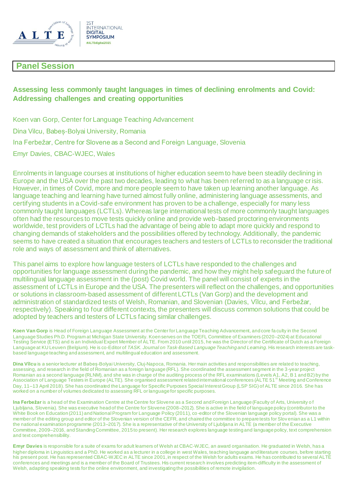

## **Panel Session**

## **Assessing less commonly taught languages in times of declining enrolments and Covid: Addressing challenges and creating opportunities**

Koen van Gorp, Center for Language Teaching Advancement Dina Vilcu, Babeș-Bolyai University, Romania Ina Ferbežar, Centre for Slovene as a Second and Foreign Language, Slovenia Emyr Davies, CBAC-WJEC, Wales

Enrolments in language courses at institutions of higher education seem to have been steadily declining in Europe and the USA over the past two decades, leading to what has been referred to as a language crisis. However, in times of Covid, more and more people seem to have taken up learning another language. As language teaching and learning have turned almost fully online, administering language assessments, and certifying students in a Covid-safe environment has proven to be a challenge, especially for many less commonly taught languages (LCTLs). Whereas large international tests of more commonly taught languages often had the resources to move tests quickly online and provide web-based proctoring environments worldwide, test providers of LCTLs had the advantage of being able to adapt more quickly and respond to changing demands of stakeholders and the possibilities offered by technology. Additionally, the pandemic seems to have created a situation that encourages teachers and testers of LCTLs to reconsider the traditional role and ways of assessment and think of alternatives.

This panel aims to explore how language testers of LCTLs have responded to the challenges and opportunities for language assessment during the pandemic, and how they might help safeguard the future of multilingual language assessment in the (post) Covid world. The panel will consist of experts in the assessment of LCTLs in Europe and the USA. The presenters will reflect on the challenges, and opportunities or solutions in classroom-based assessment of different LCTLs (Van Gorp) and the development and administration of standardized tests of Welsh, Romanian, and Slovenian (Davies, Vîlcu, and Ferbežar, respectively). Speaking to four different contexts, the presenters will discuss common solutions that could be adopted by teachers and testers of LCTLs facing similar challenges.

**Koen Van Gorp** is Head of Foreign Language Assessment at the Center for Language Teaching Advancement, and core fa culty in the Second Language Studies Ph.D. Program at Michigan State University. Koen serves on the TOEFL Committee of Examiners (2020–2024) at Educational Testing Service (ETS) and is an Individual Expert Member of ALTE. From 2010 until 2015, he was the Director of the Certificate of Dutch as a Foreign Language at KU Leuven (Belgium). He is co-Editor of *TASK. Journal on Task-Based Language Teaching and Learning*. His research interests are taskbased language teaching and assessment, and multilingual education and assessment.

**Dina Vîlcu** is a senior lecturer at Babeș-Bolyai University, Cluj-Napoca, Romania. Her main activities and responsibilities are related to teaching, assessing, and research in the field of Romanian as a foreign language (RFL). She coordinated the assessment segment in the 3-year project Romanian as a second language (RLNM), and she was in charge of the auditing process of the RFL examinations (Levels A1, A2, B1 and B2) by the<br>Association of Language Testers in Europe (ALTE). She organised assessment relat Day, 11–13 April 2018). She has coordinated the Language for Specific Purposes Special Interest Group (LSP SIG) of ALTE since 2016. She has worked on a number of volumes dedicated to assessing RFL or language for specific purposes.

Ina Ferbežar is a head of the Examination Centre at the Centre for Slovene as a Second and Foreign Language (Faculty of Arts, University of Ljubljana, Slovenia). She was executive head of the Centre for Slovene (2008–2012). She is active in the field of language policy (contributor to the White Book on Education (2011) and National Program for Language Policy (2011), co -editor of the Slovenian language policy portal). She was a member of the editing group and editor of the Slovenian version of the CEFR, and chaired the committee to prepare tests for Slov enian as a L1 within the national examination programme (2013–2017). She is a representative of the University of Ljubljana in ALTE (a member of the Executive Committee, 2009–2016, and Standing Committee, 2015 to present). Her research explores language testing and language policy, text comprehension and text comprehensibility.

**Emyr Davies** is responsible for a suite of exams for adult learners of Welsh at CBAC-WJEC, an award organisation. He graduated in Welsh, has a higher diploma in Linguistics and a PhD. He worked as a lecturer in a college in west Wales, teaching language and literature courses, before starting his present post. He has represented CBAC-WJEC in ALTE since 2001, in respect of the Welsh for adults exams. He has contributed to several ALTE conferences and meetings and is a member of the Board of Trustees. His current research involves predicting item-difficulty in the assessment of Welsh, adapting speaking tests for the online environment, and investigating the possibilities of remote invigilation.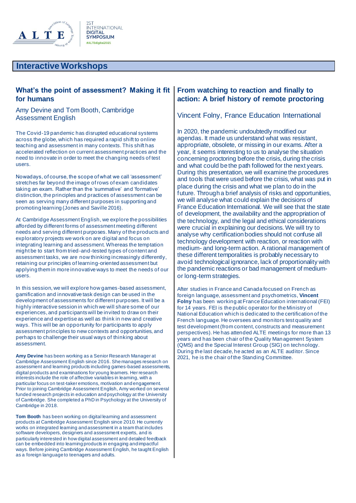

#### **What's the point of assessment? Making it fit for humans**

Amy Devine and Tom Booth, Cambridge Assessment English

The Covid-19 pandemic has disrupted educational systems across the globe, which has required a rapid shift to online teaching and assessment in many contexts. This shift has accelerated reflection on current assessment practices and the need to innovate in order to meet the changing needs of test users.

Nowadays, of course, the scope of what we call 'assessment' stretches far beyond the image of rows of exam candidates taking an exam. Rather than the 'summative' and 'formative' distinction, the principles and practices of assessment can be seen as serving many different purposes in supporting and promoting learning (Jones and Saville 2016).

At Cambridge Assessment English, we explore the possibilities afforded by different forms of assessment meeting different needs and serving different purposes. Many of the products and exploratory projects we work on are digital and focus on integrating learning and assessment. Whereas the temptation might be to start from tried-and-tested types of content and assessment tasks, we are now thinking increasingly differently, retaining our principles of learning-oriented assessment but applying them in more innovative ways to meet the needs of our users.

In this session, we will explore how games-based assessment, gamification and innovative task design can be used in the development of assessments for different purposes. It will be a highly interactive session in which we will share some of our experiences, and participants will be invited to draw on their experience and expertise as well as think in new and creative ways. This will be an opportunity for participants to apply assessment principles to new contexts and opportunities, and perhaps to challenge their usual ways of thinking about assessment.

**Amy Devine** has been working as a Senior Research Manager at Cambridge Assessment English since 2016. She manages research on assessment and learning products including games-based assessments, digital products and examinations for young learners. Her research interests include the role of affective variables in learning, with a particular focus on test-taker emotions, motivation and engagement. Prior to joining Cambridge Assessment English, Amy worked on several funded research projects in education and psychology at the University of Cambridge. She completed a PhD in Psychology at the University of Cambridge in 2018.

**Tom Booth** has been working on digital learning and assessment products at Cambridge Assessment English since 2010. He currently works on integrated learning and assessment in a team that includes software developers, designers and assessment experts, and is particularly interested in how digital assessment and detailed feedback can be embedded into learning products in engaging and impactful ways. Before joining Cambridge Assessment English, he taught English as a foreign language to teenagers and adults.

#### **From watching to reaction and finally to action: A brief history of remote proctoring**

#### Vincent Folny, France Education International

In 2020, the pandemic undoubtedly modified our agendas. It made us understand what was resistant, appropriate, obsolete, or missing in our exams. After a year, it seems interesting to us to analyse the situation concerning proctoring before the crisis, during the crisis and what could be the path followed for the next years. During this presentation, we will examine the procedures and tools that were used before the crisis, what was put in place during the crisis and what we plan to do in the future. Through a brief analysis of risks and opportunities, we will analyse what could explain the decisions of France Education International. We will see that the state of development, the availability and the appropriation of the technology, and the legal and ethical considerations were crucial in explaining our decisions. We will try to analyse why certification bodies should not confuse all technology development with reaction, or reaction with medium- and long-term action. A rational management of these different temporalities is probably necessary to avoid technological ignorance, lack of proportionality with the pandemic reactions or bad management of mediumor long-term strategies.

After studies in France and Canada focused on French as foreign language, assessment and psychometrics, **Vincent Folny** has been working at France Education international (FEI) for 14 years. FEI is the public operator for the Ministry of National Education which is dedicated to the certification of the French language. He oversees and monitors test quality and test development (from content, constructs and measurement perspectives). He has attended ALTE meetings for more than 13 years and has been chair of the Quality Management System (QMS) and the Special Interest Group (SIG) on technology. During the last decade, he acted as an ALTE auditor. Since 2021, he is the chair of the Standing Committee.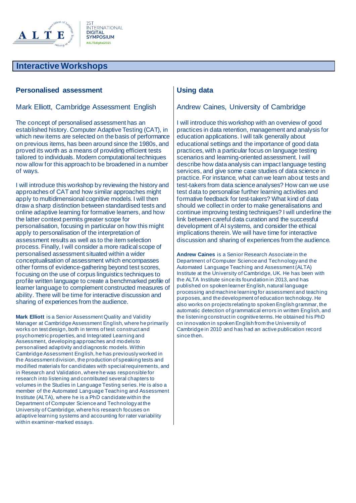

#### **Personalised assessment**

#### Mark Elliott, Cambridge Assessment English

The concept of personalised assessment has an established history. Computer Adaptive Testing (CAT), in which new items are selected on the basis of performance on previous items, has been around since the 1980s, and proved its worth as a means of providing efficient tests tailored to individuals. Modern computational techniques now allow for this approach to be broadened in a number of ways.

I will introduce this workshop by reviewing the history and approaches of CAT and how similar approaches might apply to multidimensional cognitive models. I will then draw a sharp distinction between standardised tests and online adaptive learning for formative learners, and how the latter context permits greater scope for personalisation, focusing in particular on how this might apply to personalisation of the interpretation of assessment results as well as to the item selection process. Finally, I will consider a more radical scope of personalised assessment situated within a wider conceptualisation of assessment which encompasses other forms of evidence-gathering beyond test scores, focusing on the use of corpus linguistics techniques to profile written language to create a benchmarked profile of learner language to complement constructed measures of ability. There will be time for interactive discussion and sharing of experiences from the audience.

**Mark Elliott** is a Senior Assessment Quality and Validity Manager at Cambridge Assessment English, where he primarily works on test design, both in terms of test construct and psychometric properties, and Integrated Learning and Assessment, developing approaches and models to personalised adaptivity and diagnostic models. Within Cambridge Assessment English, he has previously worked in the Assessment division, the production of speaking tests and modified materials for candidates with special requirements, and in Research and Validation, where he was responsible for research into listening and contributed several chapters to volumes in the Studies in Language Testing series. He is also a member of the Automated Language Teaching and Assessment Institute (ALTA), where he is a PhD candidate within the Department of Computer Science and Technology at the University of Cambridge, where his research focuses on adaptive learning systems and accounting for rater variability within examiner-marked essays.

#### **Using data**

#### Andrew Caines, University of Cambridge

I will introduce this workshop with an overview of good practices in data retention, management and analysis for education applications. I will talk generally about educational settings and the importance of good data practices, with a particular focus on language testing scenarios and learning-oriented assessment. I will describe how data analysis can impact language testing services, and give some case studies of data science in practice. For instance, what can we learn about tests and test-takers from data science analyses? How can we use test data to personalise further learning activities and formative feedback for test-takers? What kind of data should we collect in order to make generalisations and continue improving testing techniques? I will underline the link between careful data curation and the successful development of AI systems, and consider the ethical implications therein. We will have time for interactive discussion and sharing of experiences from the audience.

**Andrew Caines** is a Senior Research Associate in the Department of Computer Science and Technology and the Automated Language Teaching and Assessment (ALTA) Institute at the University of Cambridge, UK. He has been with the ALTA Institute since its foundation in 2013, and has published on spoken learner English, natural language processing and machine learning for assessment and teaching purposes, and the development of education technology. He also works on projects relating to spoken English grammar, the automatic detection of grammatical errors in written English, and the listening construct in cognitive terms. He obtained his PhD on innovation in spoken English from the University of Cambridge in 2010 and has had an active publication record since then.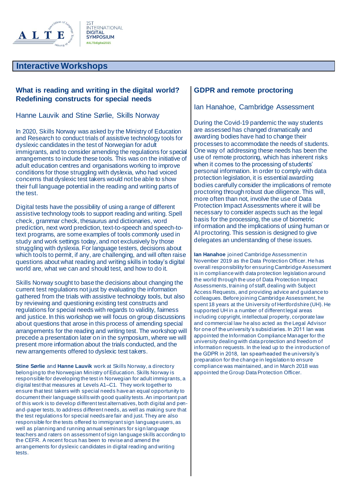

#### **What is reading and writing in the digital world? Redefining constructs for special needs**

Hanne Lauvik and Stine Sørlie, Skills Norway

In 2020, Skills Norway was asked by the Ministry of Education and Research to conduct trials of assistive technology tools for dyslexic candidates in the test of Norwegian for adult immigrants, and to consider amending the regulations for special arrangements to include these tools. This was on the initiative of adult education centres and organisations working to improve conditions for those struggling with dyslexia, who had voiced concerns that dyslexic test takers would not be able to show their full language potential in the reading and writing parts of the test.

Digital tests have the possibility of using a range of different assistive technology tools to support reading and writing. Spell check, grammar check, thesaurus and dictionaries, word prediction, next word prediction, text-to-speech and speech-totext programs, are some examples of tools commonly used in study and work settings today, and not exclusively by those struggling with dyslexia. For language testers, decisions about which tools to permit, if any, are challenging, and will often raise questions about what reading and writing skills in today's digital world are, what we can and should test, and how to do it.

Skills Norway sought to base the decisions about changing the current test regulations not just by evaluating the information gathered from the trials with assistive technology tools, but also by reviewing and questioning existing test constructs and regulations for special needs with regards to validity, fairness and justice. In this workshop we will focus on group discussions about questions that arose in this process of amending special arrangements for the reading and writing test. The workshop will precede a presentation later on in the symposium, where we will present more information about the trials conducted, and the new arrangements offered to dyslexic test takers.

**Stine Sørlie** and **Hanne Lauvik** work at Skills Norway, a directory belonging to the Norwegian Ministry of Education. Skills Norway is responsible for developing the test in Norwegian for adult immigrants, a digital test that measures at Levels A1–C1. They work together to ensure that test takers with special needs have an equal opportunity to document their language skills with good quality tests. An important part of this work is to develop different test alternatives, both digital and penand-paper tests, to address different needs, as well as making sure that the test regulations for special needs are fair and just. They are also responsible for the tests offered to immigrant sign language users, as well as planning and running annual seminars for sign language teachers and raters on assessment of sign language skills according to the CEFR. A recent focus has been to revise and amend the arrangements for dyslexic candidates in digital reading and writing tests.

#### **GDPR and remote proctoring**

#### Ian Hanahoe, Cambridge Assessment

During the Covid-19 pandemic the way students are assessed has changed dramatically and awarding bodies have had to change their processes to accommodate the needs of students. One way of addressing these needs has been the use of remote proctoring, which has inherent risks when it comes to the processing of students' personal information. In order to comply with data protection legislation, it is essential awarding bodies carefully consider the implications of remote proctoring through robust due diligence. This will, more often than not, involve the use of Data Protection Impact Assessments where it will be necessary to consider aspects such as the legal basis for the processing, the use of biometric information and the implications of using human or AI proctoring. This session is designed to give delegates an understanding of these issues.

**Ian Hanahoe** joined Cambridge Assessment in November 2019 as the Data Protection Officer. He has overall responsibility for ensuring Cambridge Assessment is in compliance with data protection legislation around the world through the use of Data Protection Impact Assessments, training of staff, dealing with Subject Access Requests, and providing advice and guidance to colleagues. Before joining Cambridge Assessment, he spent 18 years at the University of Hertfordshire (UH). He supported UH in a number of different legal areas including copyright, intellectual property, corporate law and commercial law he also acted as the Legal Advisor for one of the university's subsidiaries. In 2011 Ian was appointed the Information Compliance Manager for the university dealing with data protection and freedom of information requests. In the lead up to the introduction of the GDPR in 2018, Ian spearheaded the university's preparation for the change in legislation to ensure compliance was maintained, and in March 2018 was appointed the Group Data Protection Officer.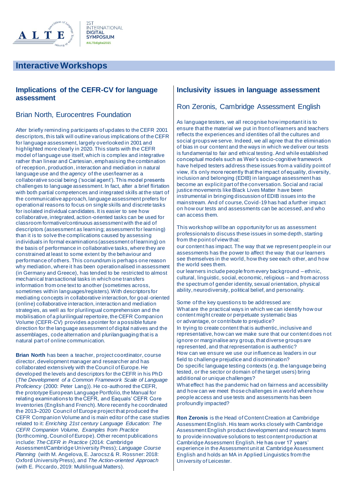

#### **Implications of the CEFR-CV for language assessment**

#### Brian North, Eurocentres Foundation

After briefly reminding participants of updates to the CEFR 2001 descriptors, this talk will outline various implications of the CEFR for language assessment, largely overlooked in 2001 and highlighted more clearly in 2020. This starts with the CEFR model of language use itself, which is complex and integrative rather than linear and Cartesian, emphasising the combination of reception, production, interaction and mediation in natural language use and the *agency* of the user/learner as a collaborative social being ('social agent'). This model presents challenges to language assessment. In fact, after a brief flirtation with both partial competences and integrated skills at the start of the communicative approach, language assessment prefers for operational reasons to focus on single skills and discrete tasks for isolated individual candidates. It is easier to see how collaborative, integrated, action-oriented tasks can be used for classroom formative/continuous assessment with the aid of descriptors (assessment as learning; assessment for learning) than it is to solve the complications caused by assessing individuals in formal examinations (assessment of learning) on the basis of performance in collaborative tasks, where they are constrained at least to some extent by the behaviour and performance of others. This conundrum is perhaps one reason why mediation, where it has been operationalised in assessment (in Germany and Greece), has tended to be restricted to almost mechanical transactional tasks in which one transfers information from one text to another (sometimes across, sometimes within languages/registers). With descriptors for mediating concepts in collaborative interaction, for goal-oriented (online) collaborative interaction, interaction and mediation strategies, as well as for plurilingual comprehension and the mobilisation of a plurilingual repertoire, the CEFR Companion Volume (CEFR-CV) provides a pointer for a possible future direction for the language assessment of digital natives and the assemblages, code alternation and plurilanguaging that is a natural part of online communication.

**Brian North** has been a teacher, project coordinator, course director, development manager and researcher and has collaborated extensively with the Council of Europe. He developed the levels and descriptors for the CEFR in his PhD (*The Development of a Common Framework Scale of Language Proficiency* (2000: Peter Lang)). He co-authored the CEFR, the prototype European Language Portfolio, the Manual for relating examinations to the CEFR, and Eaquals' CEFR Core Inventories (English and French). More recently he coordinated the 2013–2020 Council of Europe project that produced the CEFR Companion Volume and is main editor of the case studies related to it: *Enriching 21st century Language Education: The CEFR Companion Volume, Examples from Practice* (forthcoming, Council of Europe). Other recent publications include: *The CEFR in Practice* (2014: Cambridge Assessment/Cambridge University Press); *Language Course Planning* (with M. Angelova, E. Jarocsz & R. Rossner: 2018: Oxford University Press), and *The Action-oriented Approach* (with E. Piccardo, 2019: Multilingual Matters).

#### **Inclusivity issues in language assessment**

#### Ron Zeronis, Cambridge Assessment English

As language testers, we all recognise how important it is to ensure that the material we put in front of learners and teachers reflects the experiences and identities of all the cultures and social groups we serve. Indeed, we all agree that the elimination of bias in our content and the ways in which we deliver our tests is fundamental to fair and ethical testing. And while established conceptual models such as Weir's socio-cognitive framework have helped testers address these issues from a validity point of view, it's only more recently that the impact of equality, diversity, inclusion and belonging (EDIB) in language assessment has become an explicit part of the conversation. Social and racial justice movements like Black Lives Matter have been instrumental in bringing discussion of EDIB issues into the mainstream. And of course, Covid-19 has had a further impact on how our tests and assessments can be accessed, and who can access them.

This workshop will be an opportunity for us as assessment professionals to discuss these issues in some depth, starting from the point of view that:

• our content has impact. The way that we represent people in our assessments has the power to affect the way that our learners see themselves in the world, how they see each other, and how the world sees them.

our learners include people from every background – ethnic, cultural, linguistic, social, economic, religious – and from across the spectrum of gender identity, sexual orientation, physical ability, neurodiversity, political belief, and personality.

Some of the key questions to be addressed are: • What are the practical ways in which we can identify how our content might create or perpetuate systematic bias or advantage, or contribute to prejudice? • In trying to create content that is authentic, inclusive and representative, how can we make sure that our content does n ot ignore or marginalise any group, that diverse groups are represented, and that representation is authentic? • How can we ensure we use our influence as leaders in our field to challenge prejudice and discrimination? • Do specific language testing contexts (e.g. the language being tested, or the sector or domain of the target users) bring additional or unique challenges?

• What effect has the pandemic had on fairness and accessibility and how can we meet those challenges in a world where how people access and use tests and assessments has been profoundly impacted?

**Ron Zeronis** is the Head of Content Creation at Cambridge Assessment English. His team works closely with Cambridge Assessment English product development and research teams to provide innovative solutions to test content production at Cambridge Assessment English. He has over 17 years' experience in the Assessment unit at Cambridge Assessment English and holds an MA in Applied Linguistics from the University of Leicester.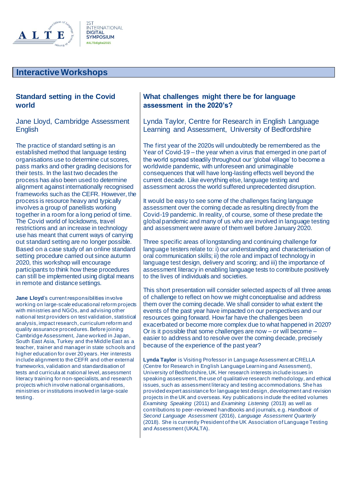

#### **Standard setting in the Covid world**

#### Jane Lloyd, Cambridge Assessment **English**

The practice of standard setting is an established method that language testing organisations use to determine cut scores, pass marks and other grading decisions for their tests. In the last two decades the process has also been used to determine alignment against internationally recognised frameworks such as the CEFR. However, the process is resource heavy and typically involves a group of panellists working together in a room for a long period of time. The Covid world of lockdowns, travel restrictions and an increase in technology use has meant that current ways of carrying out standard setting are no longer possible. Based on a case study of an online standard setting procedure carried out since autumn 2020, this workshop will encourage participants to think how these procedures can still be implemented using digital means in remote and distance settings.

**Jane Lloyd**'s current responsibilities involve working on large-scale educational reform projects with ministries and NGOs, and advising other national test providers on test validation, statistical analysis, impact research, curriculum reform and quality assurance procedures. Before joining Cambridge Assessment, Jane worked in Japan, South East Asia, Turkey and the Middle East as a teacher, trainer and manager in state schools and higher education for over 20 years. Her interests include alignment to the CEFR and other external frameworks, validation and standardisation of tests and curricula at national level, assessment literacy training for non-specialists, and research projects which involve national organisations, ministries or institutions involved in large-scale testing.

#### **What challenges might there be for language assessment in the 2020's?**

Lynda Taylor, Centre for Research in English Language Learning and Assessment, University of Bedfordshire

The first year of the 2020s will undoubtedly be remembered as the Year of Covid-19 – the year when a virus that emerged in one part of the world spread steadily throughout our 'global village' to become a worldwide pandemic, with unforeseen and unimaginable consequences that will have long-lasting effects well beyond the current decade. Like everything else, language testing and assessment across the world suffered unprecedented disruption.

It would be easy to see some of the challenges facing language assessment over the coming decade as resulting directly from the Covid-19 pandemic. In reality, of course, some of these predate the global pandemic and many of us who are involved in language testing and assessment were aware of them well before January 2020.

Three specific areas of longstanding and continuing challenge for language testers relate to: i) our understanding and characterisation of oral communication skills; ii) the role and impact of technology in language test design, delivery and scoring; and iii) the importance of assessment literacy in enabling language tests to contribute positively to the lives of individuals and societies.

This short presentation will consider selected aspects of all three areas of challenge to reflect on how we might conceptualise and address them over the coming decade. We shall consider to what extent the events of the past year have impacted on our perspectives and our resources going forward. How far have the challenges been exacerbated or become more complex due to what happened in 2020? Or is it possible that some challenges are now – or will become – easier to address and to resolve over the coming decade, precisely because of the experience of the past year?

**Lynda Taylor** is Visiting Professor in Language Assessment at CRELLA (Centre for Research in English Language Learning and Assessment), University of Bedfordshire, UK. Her research interests include issues in speaking assessment, the use of qualitative research methodology, and ethical issues, such as assessment literacy and testing accommodations. She has provided expert assistance for language test design, development and revision projects in the UK and overseas. Key publications include the edited volumes *Examining Speaking* (2011) and *Examining Listening* (2013) as well as contributions to peer-reviewed handbooks and journals, e.g. *Handbook of Second Language Assessment* (2016), *Language Assessment Quarterly* (2018). She is currently President of the UK Association of Language Testing and Assessment (UKALTA).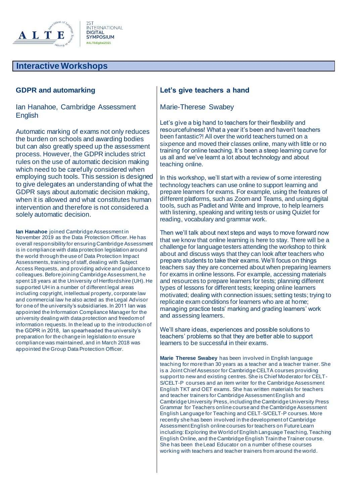

#### **GDPR and automarking**

Ian Hanahoe, Cambridge Assessment **English** 

Automatic marking of exams not only reduces the burden on schools and awarding bodies but can also greatly speed up the assessment process. However, the GDPR includes strict rules on the use of automatic decision making which need to be carefully considered when employing such tools. This session is designed to give delegates an understanding of what the GDPR says about automatic decision making, when it is allowed and what constitutes human intervention and therefore is not considered a solely automatic decision.

**Ian Hanahoe** joined Cambridge Assessment in November 2019 as the Data Protection Officer. He has overall responsibility for ensuring Cambridge Assessment is in compliance with data protection legislation around the world through the use of Data Protection Impact Assessments, training of staff, dealing with Subject Access Requests, and providing advice and guidance to colleagues. Before joining Cambridge Assessment, he spent 18 years at the University of Hertfordshire (UH). He supported UH in a number of different legal areas including copyright, intellectual property, corporate law and commercial law he also acted as the Legal Advisor for one of the university's subsidiaries. In 2011 Ian was appointed the Information Compliance Manager for the university dealing with data protection and freedom of information requests. In the lead up to the introduction of the GDPR in 2018, Ian spearheaded the university's preparation for the change in legislation to ensure compliance was maintained, and in March 2018 was appointed the Group Data Protection Officer.

#### **Let's give teachers a hand**

#### Marie-Therese Swabey

Let's give a big hand to teachers for their flexibility and resourcefulness! What a year it's been and haven't teachers been fantastic?! All over the world teachers turned on a sixpence and moved their classes online, many with little or no training for online teaching. It's been a steep learning curve for us all and we've learnt a lot about technology and about teaching online.

In this workshop, we'll start with a review of some interesting technology teachers can use online to support learning and prepare learners for exams. For example, using the features of different platforms, such as Zoom and Teams, and using digital tools, such as Padlet and Write and Improve, to help learners with listening, speaking and writing tests or using Quizlet for reading, vocabulary and grammar work.

Then we'll talk about next steps and ways to move forward now that we know that online learning is here to stay. There will be a challenge for language testers attending the workshop to think about and discuss ways that they can look after teachers who prepare students to take their exams. We'll focus on things teachers say they are concerned about when preparing learners for exams in online lessons. For example, accessing materials and resources to prepare learners for tests; planning different types of lessons for different tests; keeping online learners motivated; dealing with connection issues; setting tests; trying to replicate exam conditions for learners who are at home; managing practice tests' marking and grading learners' work and assessing learners.

We'll share ideas, experiences and possible solutions to teachers' problems so that they are better able to support learners to be successful in their exams.

**Marie Therese Swabey** has been involved in English language teaching for more than 30 years as a teacher and a teacher trainer. She is a Joint Chief Assessor for Cambridge CELTA courses providing support to new and existing centres. She is Chief Moderator for CELT-S/CELT-P courses and an item writer for the Cambridge Assessment English TKT and OET exams. She has written materials for teachers and teacher trainers for Cambridge Assessment English and Cambridge University Press, including the Cambridge University Press Grammar for Teachers online course and the Cambridge Assessment English Language for Teaching and CELT-S/CELT-P courses. More recently she has been involved in the development of Cambridge Assessment English online courses for teachers on Future Learn including: Exploring the World of English Language Teaching, Teaching English Online, and the Cambridge English Train the Trainer course. She has been the Lead Educator on a number of these courses working with teachers and teacher trainers from around the world.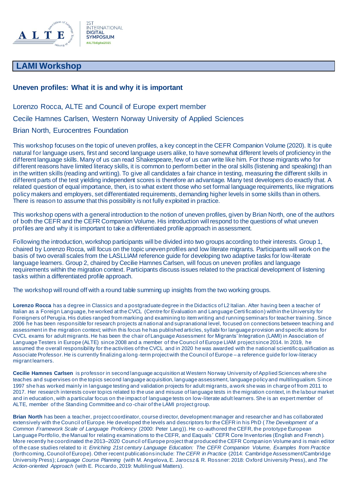

## **LAMI Workshop**

#### **Uneven profiles: What it is and why it is important**

Lorenzo Rocca, ALTE and Council of Europe expert member Cecile Hamnes Carlsen, Western Norway University of Applied Sciences Brian North, Eurocentres Foundation

This workshop focuses on the topic of uneven profiles, a key concept in the CEFR Companion Volume (2020). It is quite natural for language users, first and second language users alike, to have somewhat different levels of proficiency in the different language skills. Many of us can read Shakespeare, few of us can write like him. For those migrants who for different reasons have limited literacy skills, it is common to perform better in the oral skills (listening and speaking) than in the written skills (reading and writing). To give all candidates a fair chance in testing, measuring the different skills in different parts of the test yielding independent scores is therefore an advantage. Many test developers do exactly that. A related question of equal importance, then, is to what extent those who set formal language requirements, like migrations policy makers and employers, set differentiated requirements, demanding higher levels in some skills than in others. There is reason to assume that this possibility is not fully exploited in practice.

This workshop opens with a general introduction to the notion of uneven profiles, given by Brian North, one of the authors of both the CEFR and the CEFR Companion Volume. His introduction will respond to the questions of what uneven profiles are and why it is important to take a differentiated profile approach in assessment.

Following the introduction, workshop participants will be divided into two groups according to their interests. Group 1, chaired by Lorenzo Rocca, will focus on the topic uneven profiles and low literate migrants*.* Participants will work on the basis of two overall scales from the LASLLIAM reference guide for developing two adaptive tasks for low-literate language learners. Group 2, chaired by Cecilie Hamnes Carlsen, will focus on uneven profiles and language requirements within the migration context. Participants discuss issues related to the practical development of listening tasks within a differentiated profile approach.

The workshop will round off with a round table summing up insights from the two working groups.

**Lorenzo Rocca** has a degree in Classics and a postgraduate degree in the Didactics of L2 Italian. After having been a teacher of Italian as a Foreign Language, he worked at the CVCL (Centre for Evaluation and Language Certi fication) within the University for Foreigners of Perugia. His duties ranged from marking and examining to item writing and running seminars for teacher training . Since 2006 he has been responsible for research projects at national and supranational level, focused on connections between teaching and assessment in the migration context; within this focus he has published articles, syllabi for language provision and specific ations for CVCL exams for adult migrants. He has been the chair of Language Assessment for Migrants' Integration (LAMI) in Association of Language Testers in Europe (ALTE) since 2008 and a member of the Council of Europe LIAM project since 2014. In 2019, he assumed the overall responsibility for the activities of the CVCL and in 2020 he was awarded with the national scientific qualification as Associate Professor. He is currently finalizing a long -term project with the Council of Europe – a reference guide for low-literacy migrant learners.

**Cecilie Hamnes Carlsen** is professor in second language acquisition at Western Norway University of Applied Sciences where she teaches and supervises on the topics second language acquisition, language assessment, language policy and multilingualism. Since 1997 she has worked mainly in language testing and validation projects for adult migrants, a work she was in charge of from 2011 to 2017. Her research interests cover topics related to the use and misuse of language tests in the migration context, in the labour market and in education, with a particular focus on the impact of language tests on low-literate adult learners. She is an expert member of ALTE, member of the Standing Committee and co-chair of the LAMI project group.

**Brian North** has been a teacher, project coordinator, course d irector, development manager and researcher and has collaborated extensively with the Council of Europe. He developed the levels and descriptors for the CEFR in his PhD ( *The Development of a Common Framework Scale of Language Proficiency* (2000: Peter Lang)). He co-authored the CEFR, the prototype European Language Portfolio, the Manual for relating examinations to the CEFR, and Eaquals ' CEFR Core Inventories (English and French). More recently he coordinated the 2013–2020 Council of Europe project that produced the CEFR Companion Volume and is main editor of the case studies related to it: *Enriching 21st century Language Education: The CEFR Companion Volume, Examples from Practice* (forthcoming, Council of Europe). Other recent publications include: *The CEFR in Practice* (2014: Cambridge Assessment/Cambridge University Press); *Language Course Planning* (with M. Angelova, E. Jarocsz & R. Rossner: 2018: Oxford University Press), and *The Action-oriented Approach* (with E. Piccardo, 2019: Multilingual Matters).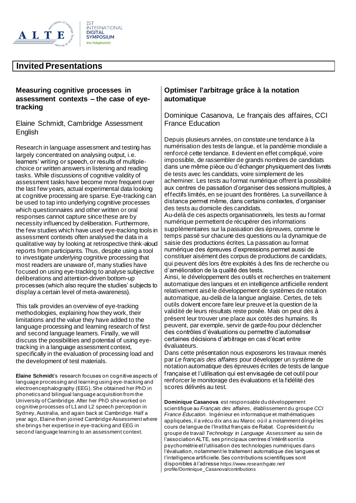

#### **Measuring cognitive processes in assessment contexts – the case of eyetracking**

Elaine Schmidt, Cambridge Assessment English

Research in language assessment and testing has largely concentrated on analysing output, i.e. learners' writing or speech, or results of multiplechoice or written answers in listening and reading tasks. While discussions of cognitive validity of assessment tasks have become more frequent over the last few years, actual experimental data looking at cognitive processing are sparse. Eye-tracking can be used to tap into underlying cognitive processes which questionnaires and other written or oral responses cannot capture since these are by necessity influenced by deliberation. Furthermore, the few studies which have used eye-tracking tools in assessment contexts often analysed the data in a qualitative way by looking at retrospective think-aloud reports from participants. Thus, despite using a tool to investigate *underlying* cognitive processing that most readers are unaware of, many studies have focused on using eye-tracking to analyse subjective deliberations and attention-driven bottom-up processes (which also require the studies' subjects to display a certain level of meta-awareness).

This talk provides an overview of eye-tracking methodologies, explaining how they work, their limitations and the value they have added to the language processing and learning research of first and second language learners. Finally, we will discuss the possibilities and potential of using eyetracking in a language assessment context, specifically in the evaluation of processing load and the development of test materials.

**Elaine Schmidt**'s research focuses on cognitive aspects of language processing and learning using eye-tracking and electroencephalography (EEG). She obtained her PhD in phonetics and bilingual language acquisition from the University of Cambridge. After her PhD she worked on cognitive processes of L1 and L2 speech perception in Sydney, Australia, and again back at Cambridge. Half a year ago, Elaine then joined Cambridge Assessment where she brings her expertise in eye-tracking and EEG in second language learning to an assessment context.

## **Optimiser l'arbitrage grâce à la notation automatique**

Dominique Casanova, Le français des affaires, CCI France Education

Depuis plusieurs années, on constate une tendance à la numérisation des tests de langue, et la pandémie mondiale a renforcé cette tendance. Il devient en effet compliqué, voire impossible, de rassembler de grands nombres de candidats dans une même pièce ou d'échanger physiquement des livrets de tests avec les candidats, voire simplement de les acheminer. Les tests au format numérique offrent la possibilité aux centres de passation d'organiser des sessions multiples, à effectifs limités, en se jouant des frontières. La surveillance à distance permet même, dans certains contextes, d'organiser des tests au domicile des candidats.

Au-delà de ces aspects organisationnels, les tests au format numérique permettent de récupérer des informations supplémentaires sur la passation des épreuves, comme le temps passé sur chacune des questions ou la dynamique de saisie des productions écrites. La passation au format numérique des épreuves d'expressions permet aussi de constituer aisément des corpus de productions de candidats, qui peuvent dès lors être exploités à des fins de recherche ou d'amélioration de la qualité des tests.

Ainsi, le développement des outils et recherches en traitement automatique des langues et en intelligence artificielle rendent relativement aisé le développement de systèmes de notation automatique, au-delà de la langue anglaise. Certes, de tels outils doivent encore faire leur preuve et la question de la validité de leurs résultats reste posée. Mais on peut dès à présent leur trouver une place aux cotés des humains. Ils peuvent, par exemple, servir de garde-fou pour déclencher des contrôles d'évaluations ou permettre d'automatiser certaines décisions d'arbitrage en cas d'écart entre évaluateurs.

Dans cette présentation nous exposerons les travaux menés par *Le français des affaires* pour développer un système de notation automatique des épreuves écrites de tests de langue française et l'utilisation qui est envisagée de cet outil pour renforcer le monitorage des évaluations et la fidélité des scores délivrés au test.

**Dominique Casanova** est responsable du développement scientifique au *Français des affaires*, établissement du groupe *CCI France Éducation*. Ingénieur en informatique et mathématiques appliquées, il a vécu dix ans au Maroc où il a notamment dirigé les cours de langue de l'Institut français de Rabat. Coprésident du groupe de travail *Technology in Language Assessment* au sein de l'association ALTE, ses principaux centres d'intérêt sont la psychométrie et l'utilisation des technologies numériques dans l'évaluation, notamment le traitement automatique des langues et l'intelligence artificielle. Ses contributions scientifiques sont disponibles à l'adresse https://www.researchgate.net/ profile/Dominique\_Casanova/contributions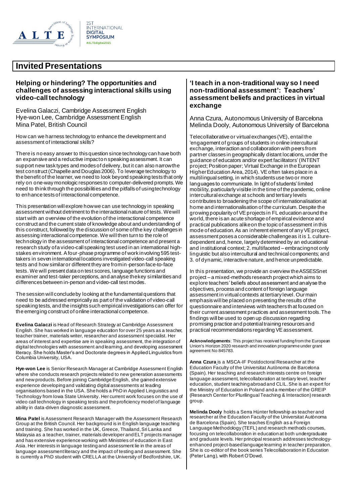

#### **Helping or hindering? The opportunities and challenges of assessing interactional skills using video-call technology**

Evelina Galaczi, Cambridge Assessment English Hye-won Lee, Cambridge Assessment English Mina Patel, British Council

How can we harness technology to enhance the development and assessment of interactional skills?

There is no easy answer to this question since technology can have both an expansive and a reductive impact on speaking assessment. It can support new task types and modes of delivery, but it can also narrow the test construct (Chapelle and Douglas 2006). To leverage technology to the benefit of the learner, we need to look beyond speaking tests that only rely on one-way monologic responses to computer-delivered prompts. We need to think through the possibilities and the pitfalls of using technology to enhance tests of interactional competence.

This presentation will explore how we can use technology in speaking assessment without detriment to the interactional nature of tests. We will start with an overview of the evolution of the interactional competence construct and the current state of knowledge about and understanding of this construct, followed by the discussion of some of the key challenges in assessing interactional competence. We will then turn to the role of technology in the assessment of interactional competence and present a research study of a video-call speaking test used in an international highstakes environment. A four-phase programme of work involving 595 testtakers in seven international locations investigated video-call speaking tests and how similar or different they are from in-person face-to-face tests. We will present data on test scores, language functions and examiner and test-taker perceptions, and analyse the key similarities and differences between in-person and video-call test modes.

The session will conclude by looking at the fundamental questions that need to be addressed empirically as part of the validation of video-call speaking tests, and the insights such empirical investigations can offer for the emerging construct of online interactional competence.

**Evelina Galaczi** is Head of Research Strategy at Cambridge Assessment English. She has worked in language education for over 25 years as a teacher, teacher trainer, materials writer, researcher and assessment specialist. Her areas of interest and expertise are in speaking assessment, the integration of digital technologies with assessment and learning, and developing assessment literacy. She holds Master's and Doctorate degrees in Applied Linguistics from Columbia University, USA.

**Hye-won Lee** is Senior Research Manager at Cambridge Assessment English where she conducts research projects related to new generation assessments and new products. Before joining Cambridge English, she gained extensive experience developing and validating digital assessments at leading organisations based in the USA. She holds a PhD in Applied Linguistics and Technology from Iowa State University. Her current work focuses on the use of video call technology in speaking tests and the proficiency model of language ability in data-driven diagnostic assessment.

**Mina Patel** is Assessment Research Manager with the Assessment Research Group at the British Council. Her background is in English language teaching and training. She has worked in the UK, Greece, Thailand, Sri Lanka and Malaysia as a teacher, trainer, materials developer and ELT projects manager and has extensive experience working with Ministries of education in East Asia. Her interests in language testing and assessment lie in the areas of language assessment literacy and the impact of testing and assessment. She is currently a PhD student with CRELLA at the University of Bedfordshire, UK.

#### **'I teach in a non-traditional way so I need non-traditional assessment': Teachers' assessment beliefs and practices in virtual exchange**

Anna Czura, Autonomous University of Barcelona Melinda Dooly, Autonomous University of Barcelona

Telecollaborative or virtual exchanges (VE), entail the 'engagement of groups of students in online intercultural exchange, interaction and collaboration with peers from partner classes in geographically distant locations, under the guidance of educators and/or expert facilitators'(INTENT project; Position paper; Virtual Exchange in the European Higher Education Area, 2014). VE often takes place in a multilingual setting, in which students use two or more languages to communicate. In light of students' limited mobility, particularly visible in the time of the pandemic, online intercultural exchange at schools and tertiary levels contributes to broadening the scope of internationalisation at home and internationalisation of the curriculum. Despite the growing popularity of VE projects in FL education around the world, there is an acute shortage of empirical evidence and practical publications alike on the topic of assessment in this mode of education. As an inherent element of any VE project, assessment poses a considerable challenge as it is 1. culturedependent and, hence, largely determined by an educational and institutional context; 2. multifaceted – embracing not only linguistic but also intercultural and technical components; and 3. of dynamic, interactive nature, and hence unpredictable.

In this presentation, we provide an overview the ASSESSnet project – a mixed-methods research project which aims to explore teachers' beliefs about assessment and analyse the objectives, process and content of foreign language assessment in virtual contexts at tertiary level. Our main emphasis will be placed on presenting the results of the questionnaire and interviews with teachers that focused on their current assessment practices and assessment tools. The findings will be used to open up discussion regarding promising practice and potential training resources and practical recommendations regarding VE assessment.

**Acknowledgements**: This project has received funding from the European Union's Horizon 2020 research and innovation programme under grant agreement No 845783.

**Anna Czura** is a MSCA-IF Postdoctoral Researcher at the Education Faculty of the Universitat Autònoma de Barcelona (Spain). Her teaching and research interests centre on foreign language assessment, telecollaboration at tertiary level, teacher education, student teaching abroad and CLIL. She is an expert for the Ministry of Education in Poland and a member of the GREIP (Research Center for Plurilingual Teaching & Interaction) research group.

**Melinda Dooly** holds a Serra Húnter fellowship as teacher and researcher at the Education Faculty of the Universitat Autònoma de Barcelona (Spain). She teaches English as a Foreign Language Methodology (TEFL) and research methods courses, focusing on telecollaboration in education at both undergraduate and graduate levels. Her principal research addresses technologyenhanced project-based language learning in teacher preparation. She is co-editor of the book series Telecollaboration in Education (Peter Lang), with Robert O'Dowd.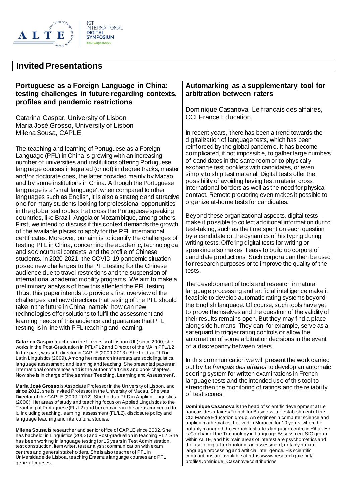

#### **Portuguese as a Foreign Language in China: testing challenges in future regarding contexts, profiles and pandemic restrictions**

Catarina Gaspar, University of Lisbon Maria José Grosso, University of Lisbon Milena Sousa, CAPLE

The teaching and learning of Portuguese as a Foreign Language (PFL) in China is growing with an increasing number of universities and institutions offering Portuguese language courses integrated (or not) in degree tracks, master and/or doctorate ones, the latter provided mainly by Macao and by some institutions in China. Although the Portuguese language is a 'small language', when compared to other languages such as English, it is also a strategic and attractive one for many students looking for professional opportunities in the globalised routes that cross the Portuguese speaking countries, like Brazil, Angola or Mozambique, among others. First, we intend to discuss if this context demands the growth of the available places to apply for the PFL international certificates. Moreover, our aim is to identify the challenges of testing PFL in China, concerning the academic, technological and sociocultural contexts, and the profile of Chinese students. In 2020-2021, the COVID-19 pandemic situation posed new challenges to the PFL testing for the Chinese audience due to travel restrictions and the suspension of international academic mobility programs. We aim to make a preliminary analysis of how this affected the PFL testing. Thus, this paper intends to provide a first overview of the challenges and new directions that testing of the PFL should take in the future in China, namely, how can new technologies offer solutions to fulfil the assessment and learning needs of this audience and guarantee that PFL testing is in line with PFL teaching and learning.

**Catarina Gaspar** teaches in the University of Lisbon (UL) since 2000; she works in the Post-Graduation in PFL/PL2 and Director of the MA in PFL/L2. In the past, was sub-director in CAPLE (2009-2013). She holds a PhD in Latin Linguistics (2009). Among her research interests are sociolinguistics, language assessment, and learning and teaching. She presented papers in international conferences and is the author of articles and book chapters. Now she is in charge of the seminar 'Teaching, Learning and Assessment'.

**Maria José Grosso** is Associate Professor in the University of Lisbon, and since 2012, she is Invited Professor in the University of Macau. She was Director of the CAPLE (2009-2012). She holds a PhD in Applied Linguistics (2000). Her areas of study and teaching focus on Applied Linguistics to the Teaching of Portuguese (FL/L2) and benchmarks in the areas connected to it, including teaching, learning, assessment (FL/L2), disclosure policy and language teaching and intercultural studies.

**Milena Sousa** is researcher and senior office of CAPLE since 2002. She has bachelor in Linguistics (2002) and Post-graduation in teaching PL2. She has been working in language testing for 15 years in Test Administration, test construction, item writer, test analysis; communication with exam centres and general stakeholders. She is also teacher of PFL in Universidade de Lisboa, teaching Erasmus language courses and PFL general courses.

#### **Automarking as a supplementary tool for arbitration between raters**

Dominique Casanova, Le français des affaires, CCI France Education

In recent years, there has been a trend towards the digitalization of language tests, which has been reinforced by the global pandemic. It has become complicated, if not impossible, to gather large numbers of candidates in the same room or to physically exchange test booklets with candidates, or even simply to ship test material. Digital tests offer the possibility of avoiding having test material cross international borders as well as the need for physical contact. Remote proctoring even makes it possible to organize at-home tests for candidates.

Beyond these organizational aspects, digital tests make it possible to collect additional information during test-taking, such as the time spent on each question by a candidate or the dynamics of his typing during writing tests. Offering digital tests for writing or speaking also makes it easy to build up corpora of candidate productions. Such corpora can then be used for research purposes or to improve the quality of the tests.

The development of tools and research in natural language processing and artificial intelligence make it feasible to develop automatic rating systems beyond the English language. Of course, such tools have yet to prove themselves and the question of the validity of their results remains open. But they may find a place alongside humans. They can, for example, serve as a safeguard to trigger rating controls or allow the automation of some arbitration decisions in the event of a discrepancy between raters.

In this communication we will present the work carried out by *Le français des affaires* to develop an automatic scoring system for written examinations in French language tests and the intended use of this tool to strengthen the monitoring of ratings and the reliability of test scores.

**Dominique Casanova** is the head of scientific development at Le français des affaires/French for Business, an establishment of the CCI France Education group. An engineer in computer science and applied mathematics, he lived in Morocco for 10 years, where he notably managed the French Institute's language centre in Ribat. He is Co-chair of the Technology in Language Assessment SIG group within ALTE, and his main areas of interest are psychometrics and the use of digital technologies in assessment, notably natural language processing and artificial intelligence. His scientific contributions are available at https://www.researchgate.net/ profile/Dominique\_Casanova/contributions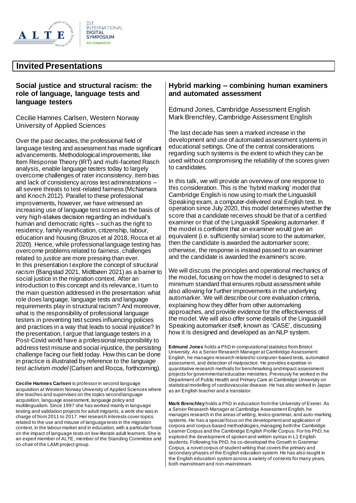

#### **Social justice and structural racism: the role of language, language tests and language testers**

Cecilie Hamnes Carlsen, Western Norway University of Applied Sciences

Over the past decades, the professional field of language testing and assessment has made significant advancements. Methodological improvements, like Item Response Theory (IRT) and multi-faceted Rasch analysis, enable language testers today to largely overcome challenges of rater inconsistency, item bias and lack of consistency across test administrations – all severe threats to test-related fairness (McNamara and Knoch 2012). Parallel to these professional improvements, however, we have witnessed an increasing use of language test scores as the basis of very high-stakes decision regarding an individual's human and democratic rights – such as the right to residency, family reunification, citizenship, labour, education and housing (Bruzos et al 2018, Rocca et al 2020). Hence, while professional language testing has overcome problems related to *fairness*, challenges related to *justice* are more pressing than ever. In this presentation I explore the concept of *structural racism* (Bangstad 2021, Midtbøen 2021) as a barrier to social justice in the migration context. After an introduction to this concept and its relevance, I turn to the main question addressed in the presentation: what role does language, language tests and language requirements play in structural racism? And moreover, what is the responsibility of professional language testers in preventing test scores influencing policies and practices in a way that leads to social injustice? In the presentation, I argue that language testers in a Post-Covid world have a professional responsibility to address test misuse and social injustice, the persisting challenge facing our field today. How this can be done in practice is illustrated by reference to the *language test activism model* (Carlsen and Rocca, forthcoming).

**Cecilie Hamnes Carlsen** is professor in second language acquisition at Western Norway University of Applied Sciences where she teaches and supervises on the topics second language acquisition, language assessment, language policy and multilingualism. Since 1997 she has worked mainly in language testing and validation projects for adult migrants, a work she was in charge of from 2011 to 2017. Her research interests cover topics related to the use and misuse of language tests in the migration context, in the labour market and in education, with a particular focus on the impact of language tests on low-literate adult learners. She is an expert member of ALTE, member of the Standing Committee and co-chair of the LAMI project group.

#### **Hybrid marking – combining human examiners and automated assessment**

Edmund Jones, Cambridge Assessment English Mark Brenchley, Cambridge Assessment English

The last decade has seen a marked increase in the development and use of automated assessment systems in educational settings. One of the central considerations regarding such systems is the extent to which they can be used without compromising the reliability of the scores given to candidates.

In this talk, we will provide an overview of one response to this consideration. This is the 'hybrid marking' model that Cambridge English is now using to mark the Linguaskill Speaking exam, a computer-delivered oral English test. In operation since July 2020, this model determines whether the score that a candidate receives should be that of a certified examiner or that of the Linguaskill Speaking automarker. If the model is confident that an examiner would give an equivalent (i.e. sufficiently similar) score to the automarker, then the candidate is awarded the automarker score; otherwise, the response is instead passed to an examiner and the candidate is awarded the examiner's score.

We will discuss the principles and operational mechanics of the model, focusing on how the model is designed to set a minimum standard that ensures robust assessment while also allowing for further improvements in the underlying automarker. We will describe our core evaluation criteria, explaining how they differ from other automarking approaches, and provide evidence for the effectiveness of the model. We will also offer some details of the Linguaskill Speaking automarker itself, known as 'CASE', discussing how it is designed and developed as an NLP system.

**Edmund Jones** holds a PhD in computational statistics from Bristol University. As a Senior Research Manager at Cambridge Assessment English, he manages research related to computer-based tests, automated assessment, and detection of malpractice. He provides expertise in quantitative research methods for benchmarking and impact assessment projects for governmental education ministries. Previously he worked in the Department of Public Health and Primary Care at Cambridge University on statistical modelling of cardiovascular disease. He has also worked in Japan as an English teacher and a translator.

**Mark Brenchley** holds a PhD in education from the University of Exeter. As a Senior Research Manager at Cambridge Assessment English, he manages research in the areas of writing, lexico-grammar, and auto-marking systems. He has a special focus on the development and application of corpora and corpus-based methodologies, managing both the Cambridge Learner Corpus and the Cambridge English Profile Corpus. For his PhD, he explored the development of spoken and written syntax in L1 English students. Following his PhD, he co-developed the Growth in Grammar Corpus, a novel corpus of student writing that covers the primary and secondary phases of the English education system. He has also taught in the English education system across a variety of contexts for many years, both mainstream and non-mainstream.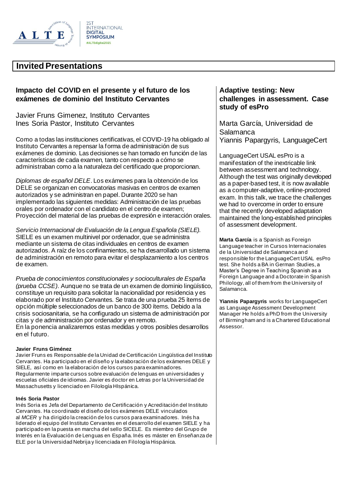

## **Impacto del COVID en el presente y el futuro de los exámenes de dominio del Instituto Cervantes**

Javier Fruns Gimenez, Instituto Cervantes Ines Soria Pastor, Instituto Cervantes

Como a todas las instituciones certificativas, el COVID-19 ha obligado al Instituto Cervantes a repensar la forma de administración de sus exámenes de dominio. Las decisiones se han tomado en función de las características de cada examen, tanto con respecto a cómo se administraban como a la naturaleza del certificado que proporcionan.

• *Diplomas de español DELE*. Los exámenes para la obtención de los DELE se organizan en convocatorias masivas en centros de examen autorizados y se administran en papel. Durante 2020 se han implementado las siguientes medidas: Administración de las pruebas orales por ordenador con el candidato en el centro de examen; Proyección del material de las pruebas de expresión e interacción orales.

• *Servicio Internacional de Evaluación de la Lengua Española (SIELE).* SIELE es un examen multinivel por ordenador, que seadministra mediante un sistema de citas individuales en centros de examen autorizados. A raíz de los confinamientos, se ha desarrollado un sistema de administración en remoto para evitar el desplazamiento a los centros de examen.

• *Prueba de conocimientos constitucionales y socioculturales de España (prueba CCSE)*. Aunque no se trata de un examen de dominio lingüístico, constituye un requisito para solicitar la nacionalidad por residencia y es elaborado por el Instituto Cervantes. Se trata de una prueba 25 ítems de opción múltiple seleccionados de un banco de 300 ítems. Debido a la crisis sociosanitaria, se ha configurado un sistema de administración por citas y de administración por ordenador y en remoto.

En la ponencia analizaremos estas medidas y otros posibles desarrollos en el futuro.

#### **Javier Fruns Giménez**

Javier Fruns es Responsable de la Unidad de Certificación Lingüística del Instituto Cervantes. Ha participado en el diseño y la elaboración de los exámenes DELE y SIELE, así como en la elaboración de los cursos para examinadores. Regularmente imparte cursos sobre evaluación de lenguas en universidades y escuelas oficiales de idiomas. Javier es doctor en Letras por la Universidad de Massachusetts y licenciado en Filología HIspánica.

#### **Inés Soria Pastor**

Inés Soria es Jefa del Departamento de Certificación y Acreditación del Instituto Cervantes. Ha coordinado el diseño de los exámenes DELE vinculados al *MCER* y ha dirigido la creación de los cursos para examinadores. Inés ha liderado el equipo del Instituto Cervantes en el desarrollo del examen SIELE y ha participado en la puesta en marcha del sello SICELE. Es miembro del Grupo de Interés en la Evaluación de Lenguas en España. Inés es máster en Enseñanza de ELE por la Universidad Nebrija y licenciada en Filología Hispánica.

#### **Adaptive testing: New challenges in assessment. Case study of esPro**

Marta García, Universidad de Salamanca Yiannis Papargyris, LanguageCert

LanguageCert USAL esPro is a manifestation of the inextricable link between assessment and technology. Although the test was originally developed as a paper-based test, it is now available as a computer-adaptive, online-proctored exam. In this talk, we trace the challenges we had to overcome in order to ensure that the recently developed adaptation maintained the long-established principles of assessment development.

**Marta García** is a Spanish as Foreign Language teacher in Cursos Internacionales de la Universidad de Salamanca and responsible for the LanguageCert USAL esPro test. She holds a BA in German Studies, a Master's Degree in Teaching Spanish as a Foreign Language and a Doctorate in Spanish Philology, all of them from the University of Salamanca.

**Yiannis Papargyris** works for LanguageCert as Language Assessment Development Manager He holds a PhD from the University of Birmingham and is a Chartered Educational Assessor.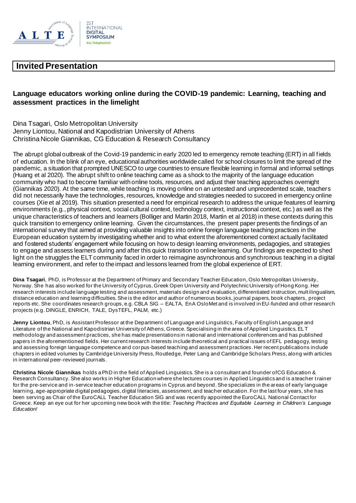

## **Language educators working online during the COVID-19 pandemic: Learning, teaching and assessment practices in the limelight**

Dina Tsagari, Oslo Metropolitan University Jenny Liontou, National and Kapodistrian University of Athens Christina Nicole Giannikas, CG Education & Research Consultancy

The abrupt global outbreak of the Covid-19 pandemic in early 2020 led to emergency remote teaching (ERT) in all fields of education. In the blink of an eye, educational authorities worldwide called for school closures to limit the spread of the pandemic, a situation that prompted UNESCO to urge countries to ensure flexible learning in formal and informal settings (Huang et al 2020). The abrupt shift to online teaching came as a shock to the majority of the language education community who had to become familiar with online tools, resources, and adjust their teaching approaches overnight (Giannikas 2020). At the same time, while teaching is moving online on an untested and unprecedented scale, teachers did not necessarily have the technologies, resources, knowledge and strategies needed to succeed in emergency online courses (Xie et al 2019). This situation presented a need for empirical research to address the unique features of learning environments (e.g., physical context, social cultural context, technology context, instructional context, etc.) as well as the unique characteristics of teachers and learners (Bolliger and Martin 2018, Martin et al 2018) in these contexts during this quick transition to emergency online learning. Given the circumstances, the present paper presents the findings of an international survey that aimed at providing valuable insights into online foreign language teaching practices in the European education system by investigating whether and to what extent the aforementioned context actually facilitated and fostered students' engagement while focusing on how to design learning environments, pedagogies, and strategies to engage and assess learners during and after this quick transition to online learning. Our findings are expected to shed light on the struggles the ELT community faced in order to reimagine asynchronous and synchronous teaching in a digital learning environment, and refer to the impact and lessons learned from the global experience of ERT.

**Dina Tsagari**, PhD, is Professor at the Department of Primary and Secondary Teacher Education, Oslo Metropolitan University, Norway. She has also worked for the University of Cyprus, Greek Open University and Polytechnic University of Hong Kong. Her research interests include language testing and assessment, materials design and evaluation, differentiated instruction, mult ilingualism, distance education and learning difficulties. She is the editor and author of numerous books, journal papers, book chapters, project reports etc. She coordinates research groups, e.g. CBLA SIG – EALTA, EnA OsloMet and is involved in EU-funded and other research projects (e.g. DINGLE, ENRICH, TALE, DysTEFL, PALM, etc.)

**Jenny Liontou**, PhD, is Assistant Professor at the Department of Language and Linguistics, Faculty of English Language and Literature of the National and Kapodistrian University of Athens, Greece. Specialising in the area of Applied Linguistics, ELT methodology and assessment practices, she has made presentations in national and international conferences and has published papers in the aforementioned fields. Her current research interests include theoretical and practical issues of EFL pedagogy, testing and assessing foreign language competence and corpus-based teaching and assessment practices. Her recent publications include chapters in edited volumes by Cambridge University Press, Routledge, Peter Lang and Cambridge Scholars Press, along with articles in international peer-reviewed journals.

**Christina Nicole Giannikas** holds a PhD in the field of Applied Linguistics. She is a consultant and founder of CG Education & Research Consultancy. She also works in Higher Education where she lectures courses in Applied Linguistics and is a teacher trainer for the pre-service and in-service teacher education programs in Cyprus and beyond. She specializes in the areas of early language learning, age-appropriate digital pedagogies, digital literacies, assessment, and teacher education. For the last four years, she has been serving as Chair of the EuroCALL Teacher Education SIG and was recently appointed the EuroCALL National Contact for Greece. Keep an eye out for her upcoming new book with the title: *Teaching Practices and Equitable Learning in Children's Language Education!*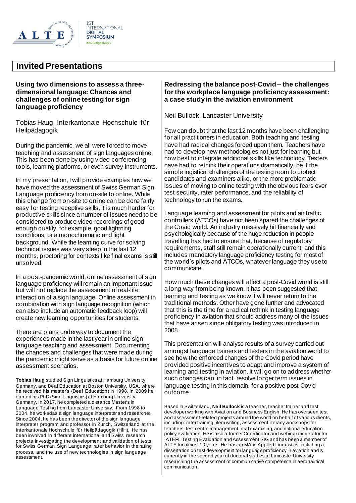

#### **Using two dimensions to assess a threedimensional language: Chances and challenges of online testing for sign language proficiency**

Tobias Haug, Interkantonale Hochschule für Heilpädagogik

During the pandemic, we all were forced to move teaching and assessment of sign languages online. This has been done by using video-conferencing tools, learning platforms, or even survey instruments.

In my presentation, I will provide examples how we have moved the assessment of Swiss German Sign Language proficiency from on-site to online. While this change from on-site to online can be done fairly easy for testing receptive skills, it is much harder for productive skills since a number of issues need to be considered to produce video-recordings of good enough quality, for example, good lightning conditions, or a monochromatic and light background. While the learning curve for solving technical issues was very steep in the last 12 months, proctoring for contexts like final exams is still unsolved.

In a post-pandemic world, online assessment of sign language proficiency will remain an important issue but will not replace the assessment of real-life interaction of a sign language. Online assessment in combination with sign language recognition (which can also include an automatic feedback loop) will create new learning opportunities for students.

There are plans underway to document the experiences made in the last year in online sign language teaching and assessment. Documenting the chances and challenges that were made during the pandemic might serve as a basis for future online assessment scenarios.

**Tobias Haug** studied Sign Linguistics at Hamburg University, Germany, and Deaf Education at Boston University, USA, where he received his master's (Deaf Education) in 1998. In 2009 he earned his PhD (Sign Linguistics) at Hamburg University, Germany. In 2017, he completed a distance Master's in Language Testing from Lancaster University. From 1998 to 2004, he workedas a sign language interpreter and researcher. Since 2004, he has been the director of the sign language interpreter program and professor in Zurich, Switzerland at the Interkantonale Hochschule für Heilpädagogik (HfH). He has been involved in different international and Swiss research projects investigating the development and validation of tests for Swiss German Sign Language, rater behavior in the rating process, and the use of new technologies in sign language assessment.

#### **Redressing the balance post-Covid – the challenges for the workplace language proficiency assessment: a case study in the aviation environment**

Neil Bullock, Lancaster University

Few can doubt that the last 12 months have been challenging for all practitioners in education. Both teaching and testing have had radical changes forced upon them. Teachers have had to develop new methodologies not just for learning but how best to integrate additional skills like technology. Testers have had to rethink their operations dramatically, be it the simple logistical challenges of the testing room to protect candidates and examiners alike, or the more problematic issues of moving to online testing with the obvious fears over test security, rater performance, and the reliability of technology to run the exams.

Language learning and assessment for pilots and air traffic controllers (ATCOs) have not been spared the challenges of the Covid world. An industry massively hit financially and psychologically because of the huge reduction in people travelling has had to ensure that, because of regulatory requirements, staff still remain operationally current, and this includes mandatory language proficiency testing for most of the world's pilots and ATCOs, whatever language they use to communicate.

How much these changes will affect a post-Covid world is still a long way from being known. It has been suggested that learning and testing as we know it will never return to the traditional methods. Other have gone further and advocated that this is the time for a radical rethink in testing language proficiency in aviation that should address many of the issues that have arisen since obligatory testing was introduced in 2008.

This presentation will analyse results of a survey carried out amongst language trainers and testers in the aviation world to see how the enforced changes of the Covid period have provided positive incentives to adapt and improve a system of learning and testing in aviation. It will go on to address whether such changes can, in fact, resolve longer term issues in language testing in this domain, for a positive post-Covid outcome.

Based in Switzerland, **Neil Bullock** is a teacher, teacher trainer and test developer working with Aviation and Business English. He has overseen test and assessment-related projects around the world on behalf of various clients, including: rater training, item writing, assessment literacy workshops for teachers, test centre management, oral examining, and national education policy evaluation. He is also a former Coordinator and webinar moderator for IATEFL Testing Evaluation and Assessment SIG and has been a member of ALTE for almost 10 years. He has an MA in Applied Linguistics, including a dissertation on test development for language proficiency in aviation and is currently in the second year of doctoral studies at Lancaster University researching the assessment of communicative competence in aeronautical communication.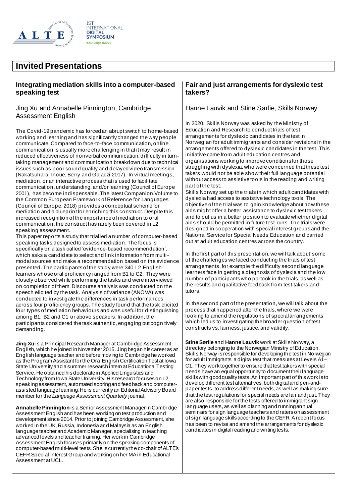

#### **Integrating mediation skills into a computer-based speaking test**

#### Jing Xu and Annabelle Pinnington, Cambridge Assessment English

The Covid-19 pandemic has forced an abrupt switch to home-based working and learning and has significantly changed the way people communicate. Compared to face-to-face communication, online communication is usually more challenging in that it may result in reduced effectiveness of nonverbal communication, difficulty in turntaking management and communication breakdown due to technical issues such as poor sound quality and delayed video transmission (Nakatsuhara, Inoue, Berry and Galaczi 2017). In virtual meetings, mediation, or an interactive process that is used to facilitate communication, understanding, and/or learning (Council of Europe 2001), has become indispensable. The latest Companion Volume to the Common European Framework of Reference for Languages (Council of Europe, 2018) provides a conceptual scheme for mediation and a blueprint for enriching this construct. Despite this increased recognition of the importance of mediation to oral communication, the construct has rarely been covered in L2 speaking assessment.

This paper reports a study that trialled a number of computer-based speaking tasks designed to assess mediation. The focus is specifically on a task called 'evidence-based recommendation', which asks a candidate to select and link information from multimodal sources and make a recommendation based on the evidence presented. The participants of the study were 340 L2 English learners whose oral proficiency ranged from B1 to C2. They were closely observed while performing the tasks and were interviewed on completion of them. Discourse analysis was conducted on the speech elicited by the task. Analysis of variance (ANOVA) was conducted to investigate the differences in task performances across four proficiency groups. The study found that the task elicited four types of mediation behaviours and was useful for distinguishing among B1, B2 and C1 or above speakers. In addition, the participants considered the task authentic, engaging but cognitively demanding.

**Jing Xu** is a Principal Research Manager at Cambridge Assessment English, which he joined in November 2015. Jing began his career as an English language teacher and before moving to Cambridge he worked as the Program Assistant for the Oral English Certification Test at Iowa State University and a summer research intern at Educational Testing Service. He obtained his doctorate in Applied Linguistics and Technology from Iowa State University. His research focuses on L2 speaking assessment, automated scoring and feedback and computerassisted language learning. He is currently an Editorial Advisory Board member for the *Language Assessment Quarterly* journal.

**Annabelle Pinnington**is a Senior Assessment Manager in Cambridge Assessment English and has been working on test production and development since 2014. Prior to joining Cambridge Assessment, she worked in the UK, Russia, Indonesia and Malaysia as an English language teacher and Academic Manager, specialising in teaching advanced levels and teacher training. Her work in Cambridge Assessment English focuses primarily on the speaking components of computer-based multi-level tests. She is currently the co-chair of ALTE's CEFR Special Interest Group and working on her MA in Educational Assessment at UCL.

#### **Fair and just arrangements for dyslexic test takers?**

#### Hanne Lauvik and Stine Sørlie, Skills Norway

In 2020, Skills Norway was asked by the Ministry of Education and Research to conduct trials of test arrangements for dyslexic candidates in the test in Norwegian for adult immigrants and consider revisions in the arrangements offered to dyslexic candidates in the test. This initiative came from adult education centres and organisations working to improve conditions for those struggling with dyslexia, who were concerned that these test takers would not be able show their full language potential without access to assistive tools in the reading and writing part of the test.

Skills Norway set up the trials in which adult candidates with dyslexia had access to assistive technology tools. The objective of the trial was to gain knowledge about how these aids might offer a better assistance to dyslexic test takers and to put us in a better position to evaluate whether digital aids should be permitted in future test runs. The trials were designed in cooperation with special interest groups and the National Service for Special Needs Education and carried out at adult education centres across the country.

In the first part of this presentation, we will talk about some of the challenges we faced conducting the trials of test arrangements, for example the difficulty second language learners face in getting a diagnosis of dyslexia and the low number of participants who partook in the trials, as well as the results and qualitative feedback from test takers and tutors.

In the second part of the presentation, we will talk about the process that happened after the trials, where we were looking to amend the regulations of special arrangements which led us to investigating the broader question of test constructs vs. fairness, justice, and validity.

**Stine Sørlie** and **Hanne Lauvik** work at Skills Norway, a directory belonging to the Norwegian Ministry of Education. Skills Norway is responsible for developing the test in Norwegian for adult immigrants, a digital test that measures at Levels A1– C1. They work together to ensure that test takers with special needs have an equal opportunity to document their language skills with good quality tests. An important part of this work is to develop different test alternatives, both digital and pen-andpaper tests, to address different needs, as well as making sure that the test regulations for special needs are fair and just. They are also responsible for the tests offered to immigrant sign language users, as well as planning and running annual seminars for sign language teachers and raters on assessment of sign language skills according to the CEFR. A recent focus has been to revise and amend the arrangements for dyslexic candidates in digital reading and writing tests.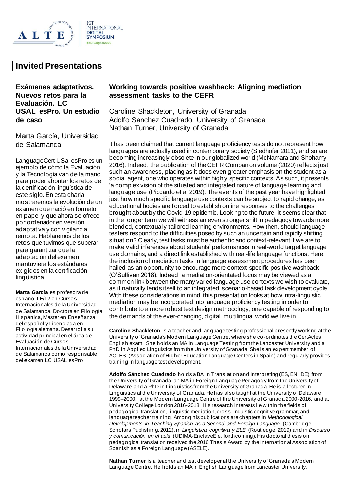

## **Invited Presentations**

**Exámenes adaptativos. Nuevos retos para la Evaluación. LC USAL esPro. Un estudio de caso**

Marta García, Universidad de Salamanca

LanguageCert USal esPro es un ejemplo de cómo la Evaluación y la Tecnología van de la mano para poder afrontar los retos de la certificación lingüística de este siglo. En esta charla, mostraremos la evolución de un examen que nació en formato en papel y que ahora se ofrece por ordenador en versión adaptativa y con vigilancia remota. Hablaremos de los retos que tuvimos que superar para garantizar que la adaptación del examen mantuviera los estándares exigidos en la certificación lingüística

**Marta García** es profesora de español LE/L2 en Cursos Internacionales de la Universidad de Salamanca. Doctora en Filología Hispánica, Máster en Enseñanza del español y Licenciada en Filología alemana. Desarrolla su actividad principal en el área de Evaluación de Cursos Internacionales de la Universidad de Salamanca como responsable del examen LC USAL esPro.

#### **Working towards positive washback: Aligning mediation assessment tasks to the CEFR**

Caroline Shackleton, University of Granada Adolfo Sanchez Cuadrado, University of Granada Nathan Turner, University of Granada

It has been claimed that current language proficiency tests do not represent how languages are actually used in contemporary society (Siedhofer 2011), and so are becoming increasingly obsolete in our globalized world (McNamara and Shohamy 2016). Indeed, the publication of the CEFR Companion volume (2020) reflects just such an awareness, placing as it does even greater emphasis on the student as a social agent, one who operates within highly specific contexts. As such, it presents 'a complex vision of the situated and integrated nature of language learning and language use' (Piccardo et al 2019). The events of the past year have highlighted just how much specific language use contexts can be subject to rapid change, as educational bodies are forced to establish online responses to the challenges brought about by the Covid-19 epidemic. Looking to the future, it seems clear that in the longer term we will witness an even stronger shift in pedagogy towards more blended, contextually-tailored learning environments. How then, should language testers respond to the difficulties posed by such an uncertain and rapidly shifting situation? Clearly, test tasks must be authentic and context-relevant if we are to make valid inferences about students' performances in real-world target language use domains, and a direct link established with real-life language functions. Here, the inclusion of mediation tasks in language assessment procedures has been hailed as an opportunity to encourage more context-specific positive washback (O'Sullivan 2018). Indeed, a mediation-orientated focus may be viewed as a common link between the many varied language use contexts we wish to evaluate, as it naturally lends itself to an integrated, scenario-based task development cycle. With these considerations in mind, this presentation looks at how intra-linguistic mediation may be incorporated into language proficiency testing in order to contribute to a more robust test design methodology, one capable of responding to the demands of the ever-changing, digital, multilingual world we live in.

**Caroline Shackleton** is a teacher and language testing professional presently working at the University of Granada's Modern Language Centre, where she co -ordinates the CertAcles English exam. She holds an MA in Language Testing from the Lancaster University and a PhD in Applied Linguistics from the University of Granada. She is an expert member of ACLES (Association of Higher Education Language Centers in Spain) and regularly provides training in language test development.

**Adolfo Sánchez Cuadrado** holds a BA in Translation and Interpreting (ES, EN, DE) from the University of Granada, an MA in Foreign Language Pedagogy from the University of Delaware and a PhD in Linguistics from the University of Granada. He is a lecturer in Linguistics at the University of Granada. He has also taught at the University of Delaware 1999–2000, at the Modern Language Centre of the University of Granada 2000-2016, and at University College London 2016-2018. His research interests lie within the fields of pedagogical translation, linguistic mediation, cross-linguistic cognitive grammar, and language teacher training. Among his publications are chapters in *Methodological Developments in Teaching Spanish as a Second and Foreign Language* (Cambridge Scholars Publishing, 2012), in *Lingüística cognitiva y ELE* (Routledge, 2019) and in *Discurso y comunicación en el aula* (UDIMA-EnclaveEle, forthcoming). His doctoral thesis on pedagogical translation received the 2016 Thesis Award by the International Association of Spanish as a Foreign Language (ASELE).

**Nathan Turner** is a teacher and test developer at the University of Granada's Modern Language Centre. He holds an MA in English Language from Lancaster University.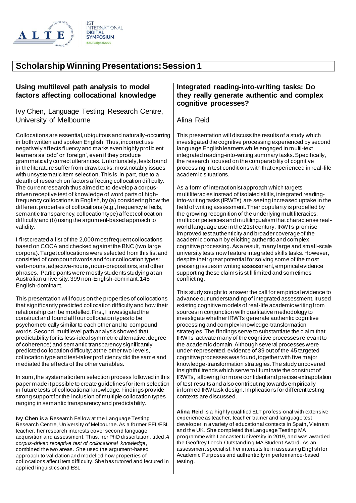

# **Scholarship Winning Presentations: Session 1**

#### **Using multilevel path analysis to model factors affecting collocational knowledge**

Ivy Chen, Language Testing Research Centre, University of Melbourne

Collocations are essential, ubiquitous and naturally-occurring in both written and spoken English. Thus, incorrect use negatively affects fluency and marks even highly proficient learners as 'odd' or 'foreign', even if they produce grammatically correct utterances. Unfortunately, tests found in the literature suffer from drawbacks, most notably issues with unsystematic item selection. This is, in part, due to a dearth of research on factors affecting collocation difficulty. The current research thus aimed to to develop a corpusdriven receptive test of knowledge of word parts of highfrequency collocations in English, by (a) considering how the different properties of collocations (e.g., frequency effects, semantic transparency, collocation type) affect collocation difficulty and (b) using the argument-based approach to validity.

I first created a list of the 2,000 most frequent collocations based on COCA and checked against the BNC (two large corpora). Target collocations were selected from this list and consisted of compound words and four collocation types: verb-nouns, adjective-nouns, noun-prepositions, and other phrases. Participants were mostly students studying at an Australian university: 399 non-English-dominant, 148 English-dominant.

This presentation will focus on the properties of collocations that significantly predicted collocation difficulty and how their relationship can be modelled. First, I investigated the construct and found all four collocation types to be psychometrically similar to each other and to compound words. Second, multilevel path analysis showed that predictability (or its less-ideal symmetric alternative, degree of coherence) and semantic transparency significantly predicted collocation difficulty; at the other two levels, collocation type and test-taker proficiency did the same and mediated the effects of the other variables.

In sum, the systematic item selection process followed in this paper made it possible to create guidelines for item selection in future tests of collocational knowledge. Findings provide strong support for the inclusion of multiple collocation types ranging in semantic transparency and predictability.

**Ivy Chen** is a Research Fellow at the Language Testing Research Centre, University of Melbourne. As a former EFL/ESL teacher, her research interests cover second language acquisition and assessment. Thus, her PhD dissertation, titled *A corpus-driven receptive test of collocational knowledge*, combined the two areas. She used the argument-based approach to validation and modelled how properties of collocations affect item difficulty. She has tutored and lectured in applied linguistics and ESL.

#### **Integrated reading-into-writing tasks: Do they really generate authentic and complex cognitive processes?**

Alina Reid

This presentation will discuss the results of a study which investigated the cognitive processing experienced by second language English learners while engaged in multi-text integrated reading-into-writing summary tasks. Specifically, the research focused on the comparability of cognitive processing in test conditions with that experienced in real-life academic situations.

As a form of interactionist approach which targets multiliteracies instead of isolated skills, integrated readinginto-writing tasks (IRWTs) are seeing increased uptake in the field of writing assessment. Their popularity is propelled by the growing recognition of the underlying multiliteracies, multicompetencies and multilingualism that characterise realworld language use in the 21st century. IRWTs promise improved test authenticity and broader coverage of the academic domain by eliciting authentic and complex cognitive processing. As a result, many large and small-scale university tests now feature integrated skills tasks. However, despite their great potential for solving some of the most pressing issues in writing assessment, empirical evidence supporting these claims is still limited and sometimes conflicting.

This study sought to answer the call for empirical evidence to advance our understanding of integrated assessment. It used existing cognitive models of real-life academic writing from sources in conjunction with qualitative methodology to investigate whether IRWTs generate authentic cognitive processing and complex knowledge-transformation strategies. The findings serve to substantiate the claim that IRWTs activate many of the cognitive processes relevant to the academic domain. Although several processes were under-represented, evidence of 39 out of the 45 targeted cognitive processes was found, together with five major knowledge-transformation strategies. The study uncovered insightful trends which serve to illuminate the construct of IRWTs, allowing for more confident and precise extrapolation of test results and also contributing towards empirically informed IRW task design. Implications for different testing contexts are discussed.

**Alina Reid** is a highly qualified ELT professional with extensive experience as teacher, teacher trainer and language test developer in a variety of educational contexts in Spain, Vietnam and the UK. She completed the Language Testing MA programme with Lancaster University in 2019, and was awarded the Geoffrey Leech Outstanding MA Student Award. As an assessment specialist, her interests lie in assessing English for Academic Purposes and authenticity in performance-based testing.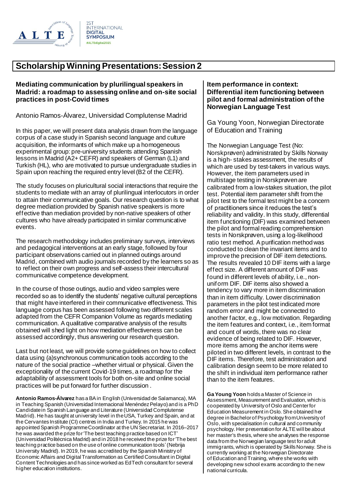

# **Scholarship Winning Presentations: Session 2**

#### **Mediating communication by plurilingual speakers in Madrid: a roadmap to assessing online and on-site social practices in post-Covid times**

Antonio Ramos-Álvarez, Universidad Complutense Madrid

In this paper, we will present data analysis drawn from the language corpus of a case study in Spanish second language and culture acquisition, the informants of which make up a homogeneous experimental group: pre-university students attending Spanish lessons in Madrid (A2+ CEFR) and speakers of German (L1) and Turkish (HL), who are motivated to pursue undergraduate studies in Spain upon reaching the required entry level (B2 of the CEFR).

The study focuses on pluricultural social interactions that require the students to mediate with an array of plurilingual interlocutors in order to attain their communicative goals. Our research question is to what degree mediation provided by Spanish native speakers is more effective than mediation provided by non-native speakers of other cultures who have already participated in similar communicative events.

The research methodology includes preliminary surveys, interviews and pedagogical interventions at an early stage, followed by four participant observations carried out in planned outings around Madrid, combined with audio journals recorded by the learners so as to reflect on their own progress and self-assess their intercultural communicative competence development.

In the course of those outings, audio and video samples were recorded so as to identify the students' negative cultural perceptions that might have interfered in their communicative effectiveness. This language corpus has been assessed following two different scales adapted from the CEFR Companion Volume as regards mediating communication. A qualitative comparative analysis of the results obtained will shed light on how mediation effectiveness can be assessed accordingly, thus answering our research question.

Last but not least, we will provide some guidelines on how to collect data using (a)synchronous communication tools according to the nature of the social practice –whether virtual or physical. Given the exceptionality of the current Covid-19 times, a roadmap for the adaptability of assessment tools for both on-site and online social practices will be put forward for further discussion .

**Antonio Ramos-Álvarez** has a BAin English (Universidad de Salamanca), MA in Teaching Spanish (Universidad Internacional Menéndez Pelayo) and is a PhD Candidatein Spanish Language and Literature (Universidad Complutense Madrid). He has taught at university level in theUSA, Turkey and Spain, and at the Cervantes Institute (CI) centres in India and Turkey. In 2015 he was appointed Spanish ProgrammeCoordinator at the UN Secretariat. In 2016–2017 he was awarded the prize for'The best teaching practice based on ICT' (Universidad Politécnica Madrid) and in 2018 he received the prize for'The best teaching practice based on the use of online communication tools'(Nebrija University Madrid). In 2019, he was accredited by the Spanish Ministry of Economic Affairs and Digital Transformation as Certified Consultant in Digital Content Technologies and has since worked as EdTech consultant for several higher education institutions.

#### **Item performance in context: Differential item functioning between pilot and formal administration of the Norwegian Language Test**

Ga Young Yoon, Norwegian Directorate of Education and Training

The Norwegian Language Test (No: Norskprøven) administrated by Skills Norway is a high- stakes assessment, the results of which are used by test-takers in various ways. However, the item parameters used in multistage testing in Norskprøven are calibrated from a low-stakes situation, the pilot test. Potential item parameter shift from the pilot test to the formal test might be a concern of practitioners since it reduces the test's reliability and validity. In this study, differential item functioning (DIF) was examined between the pilot and formal reading comprehension tests in Norskprøven, using a log-likelihood ratio test method. A purification method was conducted to clean the invariant items and to improve the precision of DIF item detections. The results revealed 10 DIF items with a large effect size. A different amount of DIF was found in different levels of ability, i.e., nonuniform DIF. DIF items also showed a tendency to vary more in item discrimination than in item difficulty. Lower discrimination parameters in the pilot test indicated more random error and might be connected to another factor, e.g., low motivation. Regarding the item features and context, i.e., item format and count of words, there was no clear evidence of being related to DIF. However, more items among the anchor items were piloted in two different levels, in contrast to the DIF items. Therefore, test administration and calibration design seem to be more related to the shift in individual item performance rather than to the item features.

**Ga Young Yoon** holds a Master of Science in Assessment, Measurement and Evaluation, which is cooperated by University of Oslo and Center for Education Measurement in Oslo. She obtained her degree in Bachelor of Psychology from University of Oslo, with specialisation in cultural and community psychology. Her presentation for ALTE will be about her master's thesis, where she analyses the response data from the Norwegian language test for adult immigrants, which is operated by Skills Norway. She is currently working at the Norwegian Directorate of Education and Training, where she works with developing new school exams according to the new national curricula.